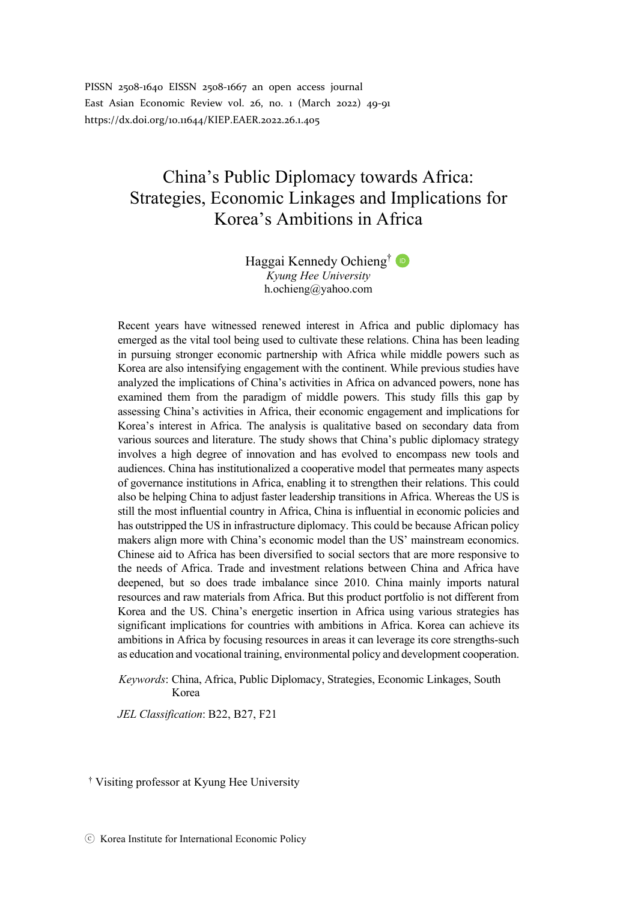PISSN 2508-1640 EISSN 2508-1667 an open access journal East Asian Economic Review vol. 26, no. 1 (March 2022) 49-91 https://dx.doi.org/10.11644/KIEP.EAER.2022.26.1.405

# China's Public Diplomacy towards Africa: Strategies, Economic Linkages and Implications for Korea's Ambitions in Africa

Haggai Kennedy Ochieng<sup>†</sup> *Kyung Hee University* h.ochieng@yahoo.com

Recent years have witnessed renewed interest in Africa and public diplomacy has emerged as the vital tool being used to cultivate these relations. China has been leading in pursuing stronger economic partnership with Africa while middle powers such as Korea are also intensifying engagement with the continent. While previous studies have analyzed the implications of China's activities in Africa on advanced powers, none has examined them from the paradigm of middle powers. This study fills this gap by assessing China's activities in Africa, their economic engagement and implications for Korea's interest in Africa. The analysis is qualitative based on secondary data from various sources and literature. The study shows that China's public diplomacy strategy involves a high degree of innovation and has evolved to encompass new tools and audiences. China has institutionalized a cooperative model that permeates many aspects of governance institutions in Africa, enabling it to strengthen their relations. This could also be helping China to adjust faster leadership transitions in Africa. Whereas the US is still the most influential country in Africa, China is influential in economic policies and has outstripped the US in infrastructure diplomacy. This could be because African policy makers align more with China's economic model than the US' mainstream economics. Chinese aid to Africa has been diversified to social sectors that are more responsive to the needs of Africa. Trade and investment relations between China and Africa have deepened, but so does trade imbalance since 2010. China mainly imports natural resources and raw materials from Africa. But this product portfolio is not different from Korea and the US. China's energetic insertion in Africa using various strategies has significant implications for countries with ambitions in Africa. Korea can achieve its ambitions in Africa by focusing resources in areas it can leverage its core strengths-such as education and vocational training, environmental policy and development cooperation.

*Keywords*: China, Africa, Public Diplomacy, Strategies, Economic Linkages, South Korea

*JEL Classification*: B22, B27, F21

†† Visiting professor at Kyung Hee University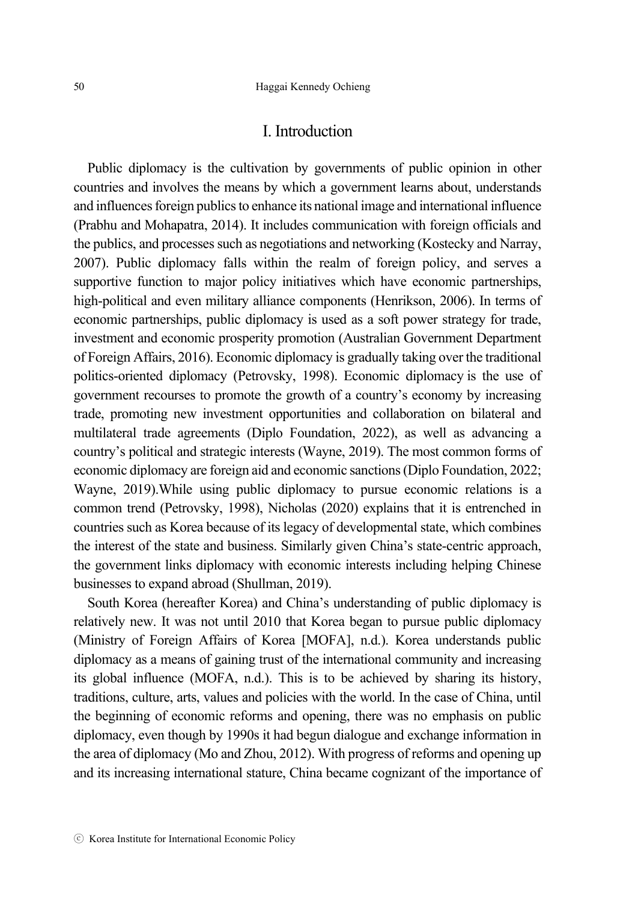### I. Introduction

Public diplomacy is the cultivation by governments of public opinion in other countries and involves the means by which a government learns about, understands and influences foreign publics to enhance its national image and international influence (Prabhu and Mohapatra, 2014). It includes communication with foreign officials and the publics, and processes such as negotiations and networking (Kostecky and Narray, 2007). Public diplomacy falls within the realm of foreign policy, and serves a supportive function to major policy initiatives which have economic partnerships, high-political and even military alliance components (Henrikson, 2006). In terms of economic partnerships, public diplomacy is used as a soft power strategy for trade, investment and economic prosperity promotion (Australian Government Department of Foreign Affairs, 2016). Economic diplomacy is gradually taking over the traditional politics-oriented diplomacy (Petrovsky, 1998). Economic diplomacy is the use of government recourses to promote the growth of a country's economy by increasing trade, promoting new investment opportunities and collaboration on bilateral and multilateral trade agreements (Diplo Foundation, 2022), as well as advancing a country's political and strategic interests (Wayne, 2019). The most common forms of economic diplomacy are foreign aid and economic sanctions (Diplo Foundation, 2022; Wayne, 2019).While using public diplomacy to pursue economic relations is a common trend (Petrovsky, 1998), Nicholas (2020) explains that it is entrenched in countries such as Korea because of its legacy of developmental state, which combines the interest of the state and business. Similarly given China's state-centric approach, the government links diplomacy with economic interests including helping Chinese businesses to expand abroad (Shullman, 2019).

South Korea (hereafter Korea) and China's understanding of public diplomacy is relatively new. It was not until 2010 that Korea began to pursue public diplomacy (Ministry of Foreign Affairs of Korea [MOFA], n.d.). Korea understands public diplomacy as a means of gaining trust of the international community and increasing its global influence (MOFA, n.d.). This is to be achieved by sharing its history, traditions, culture, arts, values and policies with the world. In the case of China, until the beginning of economic reforms and opening, there was no emphasis on public diplomacy, even though by 1990s it had begun dialogue and exchange information in the area of diplomacy (Mo and Zhou, 2012). With progress of reforms and opening up and its increasing international stature, China became cognizant of the importance of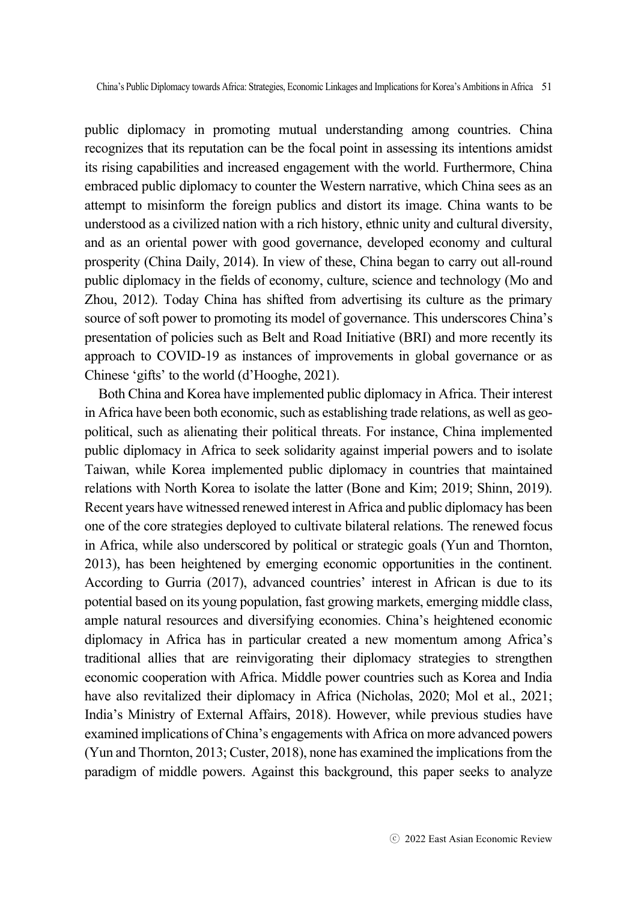public diplomacy in promoting mutual understanding among countries. China recognizes that its reputation can be the focal point in assessing its intentions amidst its rising capabilities and increased engagement with the world. Furthermore, China embraced public diplomacy to counter the Western narrative, which China sees as an attempt to misinform the foreign publics and distort its image. China wants to be understood as a civilized nation with a rich history, ethnic unity and cultural diversity, and as an oriental power with good governance, developed economy and cultural prosperity (China Daily, 2014). In view of these, China began to carry out all-round public diplomacy in the fields of economy, culture, science and technology (Mo and Zhou, 2012). Today China has shifted from advertising its culture as the primary source of soft power to promoting its model of governance. This underscores China's presentation of policies such as Belt and Road Initiative (BRI) and more recently its approach to COVID-19 as instances of improvements in global governance or as Chinese 'gifts' to the world (d'Hooghe, 2021).

Both China and Korea have implemented public diplomacy in Africa. Their interest in Africa have been both economic, such as establishing trade relations, as well as geopolitical, such as alienating their political threats. For instance, China implemented public diplomacy in Africa to seek solidarity against imperial powers and to isolate Taiwan, while Korea implemented public diplomacy in countries that maintained relations with North Korea to isolate the latter (Bone and Kim; 2019; Shinn, 2019). Recent years have witnessed renewed interest in Africa and public diplomacy has been one of the core strategies deployed to cultivate bilateral relations. The renewed focus in Africa, while also underscored by political or strategic goals (Yun and Thornton, 2013), has been heightened by emerging economic opportunities in the continent. According to Gurria (2017), advanced countries' interest in African is due to its potential based on its young population, fast growing markets, emerging middle class, ample natural resources and diversifying economies. China's heightened economic diplomacy in Africa has in particular created a new momentum among Africa's traditional allies that are reinvigorating their diplomacy strategies to strengthen economic cooperation with Africa. Middle power countries such as Korea and India have also revitalized their diplomacy in Africa (Nicholas, 2020; Mol et al., 2021; India's Ministry of External Affairs, 2018). However, while previous studies have examined implications of China's engagements with Africa on more advanced powers (Yun and Thornton, 2013; Custer, 2018), none has examined the implications from the paradigm of middle powers. Against this background, this paper seeks to analyze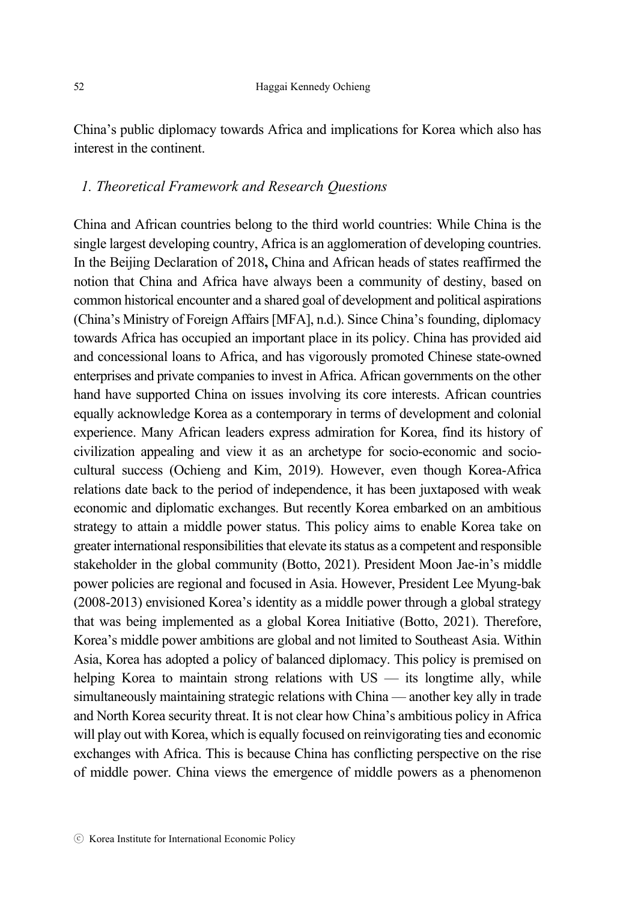China's public diplomacy towards Africa and implications for Korea which also has interest in the continent.

## *1. Theoretical Framework and Research Questions*

China and African countries belong to the third world countries: While China is the single largest developing country, Africa is an agglomeration of developing countries. In the Beijing Declaration of 2018**,** China and African heads of states reaffirmed the notion that China and Africa have always been a community of destiny, based on common historical encounter and a shared goal of development and political aspirations (China's Ministry of Foreign Affairs [MFA], n.d.). Since China's founding, diplomacy towards Africa has occupied an important place in its policy. China has provided aid and concessional loans to Africa, and has vigorously promoted Chinese state-owned enterprises and private companies to invest in Africa. African governments on the other hand have supported China on issues involving its core interests. African countries equally acknowledge Korea as a contemporary in terms of development and colonial experience. Many African leaders express admiration for Korea, find its history of civilization appealing and view it as an archetype for socio-economic and sociocultural success (Ochieng and Kim, 2019). However, even though Korea-Africa relations date back to the period of independence, it has been juxtaposed with weak economic and diplomatic exchanges. But recently Korea embarked on an ambitious strategy to attain a middle power status. This policy aims to enable Korea take on greater international responsibilities that elevate its status as a competent and responsible stakeholder in the global community (Botto, 2021). President Moon Jae-in's middle power policies are regional and focused in Asia. However, President Lee Myung-bak (2008-2013) envisioned Korea's identity as a middle power through a global strategy that was being implemented as a global Korea Initiative (Botto, 2021). Therefore, Korea's middle power ambitions are global and not limited to Southeast Asia. Within Asia, Korea has adopted a policy of balanced diplomacy. This policy is premised on helping Korea to maintain strong relations with US — its longtime ally, while simultaneously maintaining strategic relations with China — another key ally in trade and North Korea security threat. It is not clear how China's ambitious policy in Africa will play out with Korea, which is equally focused on reinvigorating ties and economic exchanges with Africa. This is because China has conflicting perspective on the rise of middle power. China views the emergence of middle powers as a phenomenon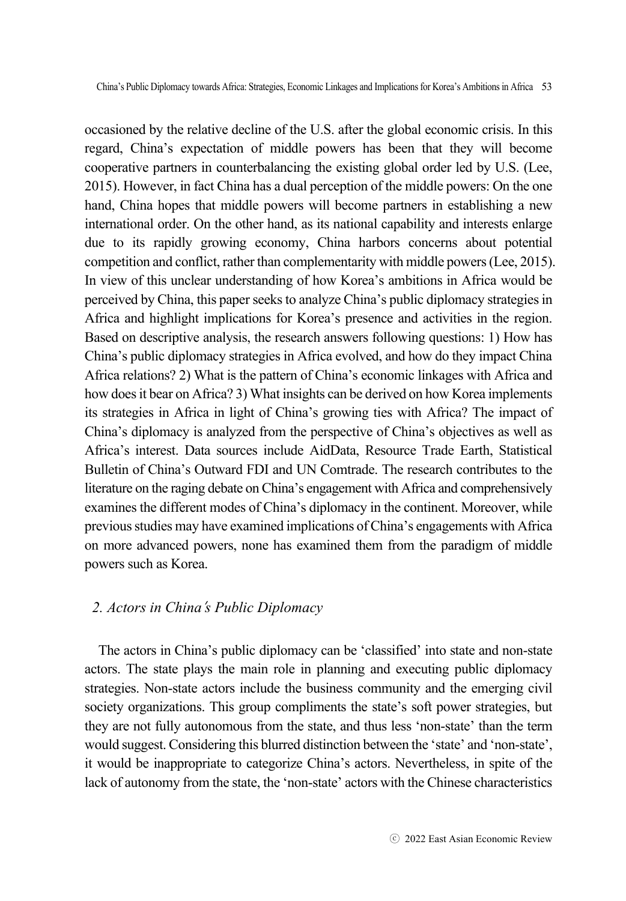occasioned by the relative decline of the U.S. after the global economic crisis. In this regard, China's expectation of middle powers has been that they will become cooperative partners in counterbalancing the existing global order led by U.S. (Lee, 2015). However, in fact China has a dual perception of the middle powers: On the one hand, China hopes that middle powers will become partners in establishing a new international order. On the other hand, as its national capability and interests enlarge due to its rapidly growing economy, China harbors concerns about potential competition and conflict, rather than complementarity with middle powers (Lee, 2015). In view of this unclear understanding of how Korea's ambitions in Africa would be perceived by China, this paper seeks to analyze China's public diplomacy strategies in Africa and highlight implications for Korea's presence and activities in the region. Based on descriptive analysis, the research answers following questions: 1) How has China's public diplomacy strategies in Africa evolved, and how do they impact China Africa relations? 2) What is the pattern of China's economic linkages with Africa and how does it bear on Africa? 3) What insights can be derived on how Korea implements its strategies in Africa in light of China's growing ties with Africa? The impact of China's diplomacy is analyzed from the perspective of China's objectives as well as Africa's interest. Data sources include AidData, Resource Trade Earth, Statistical Bulletin of China's Outward FDI and UN Comtrade. The research contributes to the literature on the raging debate on China's engagement with Africa and comprehensively examines the different modes of China's diplomacy in the continent. Moreover, while previous studies may have examined implications of China's engagements with Africa on more advanced powers, none has examined them from the paradigm of middle powers such as Korea.

### *2. Actors in China*'*s Public Diplomacy*

The actors in China's public diplomacy can be 'classified' into state and non-state actors. The state plays the main role in planning and executing public diplomacy strategies. Non-state actors include the business community and the emerging civil society organizations. This group compliments the state's soft power strategies, but they are not fully autonomous from the state, and thus less 'non-state' than the term would suggest. Considering this blurred distinction between the 'state' and 'non-state', it would be inappropriate to categorize China's actors. Nevertheless, in spite of the lack of autonomy from the state, the 'non-state' actors with the Chinese characteristics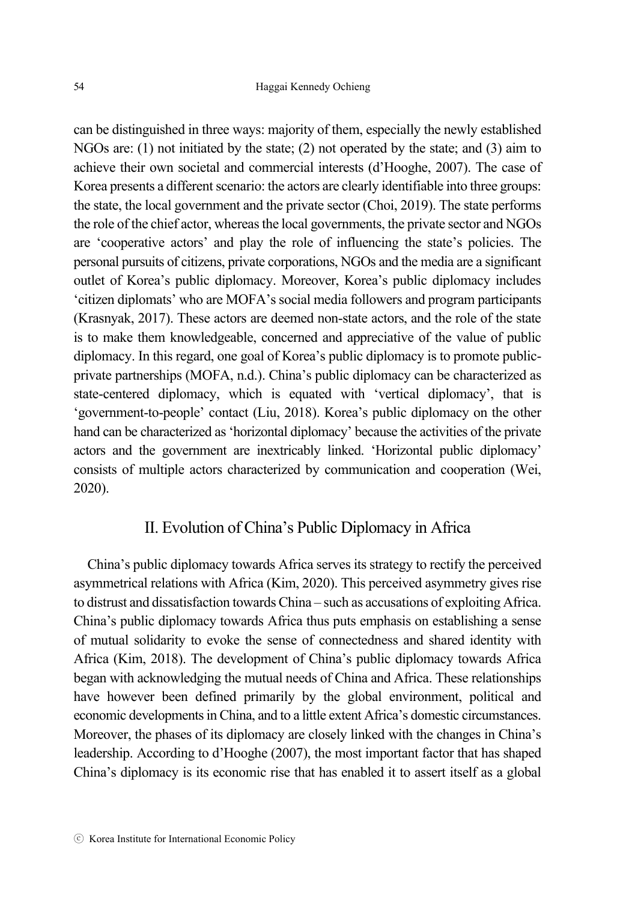can be distinguished in three ways: majority of them, especially the newly established NGOs are: (1) not initiated by the state; (2) not operated by the state; and (3) aim to achieve their own societal and commercial interests (d'Hooghe, 2007). The case of Korea presents a different scenario: the actors are clearly identifiable into three groups: the state, the local government and the private sector (Choi, 2019). The state performs the role of the chief actor, whereas the local governments, the private sector and NGOs are 'cooperative actors' and play the role of influencing the state's policies. The personal pursuits of citizens, private corporations, NGOs and the media are a significant outlet of Korea's public diplomacy. Moreover, Korea's public diplomacy includes 'citizen diplomats' who are MOFA's social media followers and program participants (Krasnyak, 2017). These actors are deemed non-state actors, and the role of the state is to make them knowledgeable, concerned and appreciative of the value of public diplomacy. In this regard, one goal of Korea's public diplomacy is to promote publicprivate partnerships (MOFA, n.d.). China's public diplomacy can be characterized as state-centered diplomacy, which is equated with 'vertical diplomacy', that is 'government-to-people' contact (Liu, 2018). Korea's public diplomacy on the other hand can be characterized as 'horizontal diplomacy' because the activities of the private actors and the government are inextricably linked. 'Horizontal public diplomacy' consists of multiple actors characterized by communication and cooperation (Wei, 2020).

## II. Evolution of China's Public Diplomacy in Africa

China's public diplomacy towards Africa serves its strategy to rectify the perceived asymmetrical relations with Africa (Kim, 2020). This perceived asymmetry gives rise to distrust and dissatisfaction towards China – such as accusations of exploiting Africa. China's public diplomacy towards Africa thus puts emphasis on establishing a sense of mutual solidarity to evoke the sense of connectedness and shared identity with Africa (Kim, 2018). The development of China's public diplomacy towards Africa began with acknowledging the mutual needs of China and Africa. These relationships have however been defined primarily by the global environment, political and economic developments in China, and to a little extent Africa's domestic circumstances. Moreover, the phases of its diplomacy are closely linked with the changes in China's leadership. According to d'Hooghe (2007), the most important factor that has shaped China's diplomacy is its economic rise that has enabled it to assert itself as a global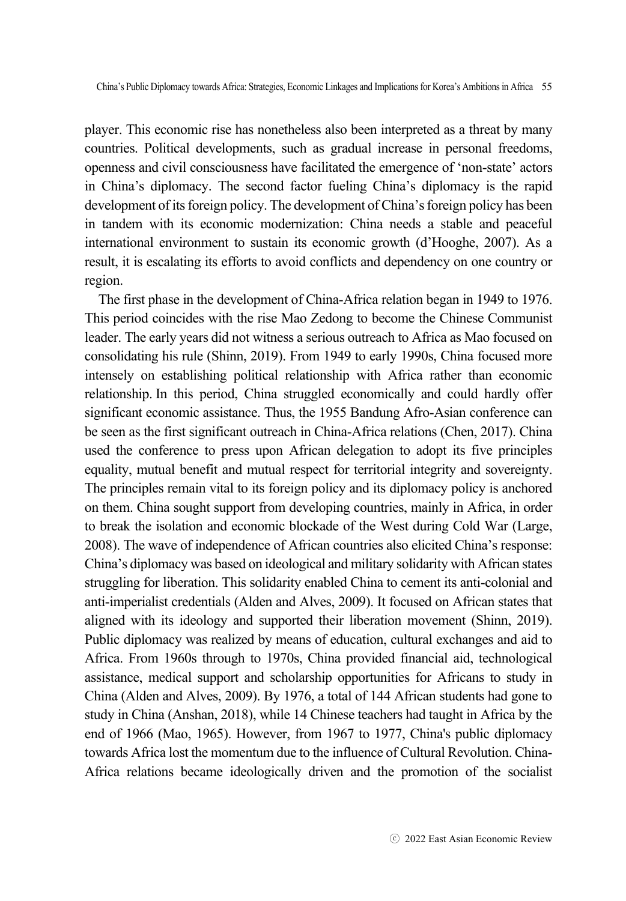player. This economic rise has nonetheless also been interpreted as a threat by many countries. Political developments, such as gradual increase in personal freedoms, openness and civil consciousness have facilitated the emergence of 'non-state' actors in China's diplomacy. The second factor fueling China's diplomacy is the rapid development of its foreign policy. The development of China's foreign policy has been in tandem with its economic modernization: China needs a stable and peaceful international environment to sustain its economic growth (d'Hooghe, 2007). As a result, it is escalating its efforts to avoid conflicts and dependency on one country or region.

The first phase in the development of China-Africa relation began in 1949 to 1976. This period coincides with the rise Mao Zedong to become the Chinese Communist leader. The early years did not witness a serious outreach to Africa as Mao focused on consolidating his rule (Shinn, 2019). From 1949 to early 1990s, China focused more intensely on establishing political relationship with Africa rather than economic relationship. In this period, China struggled economically and could hardly offer significant economic assistance. Thus, the 1955 Bandung Afro-Asian conference can be seen as the first significant outreach in China-Africa relations (Chen, 2017). China used the conference to press upon African delegation to adopt its five principles equality, mutual benefit and mutual respect for territorial integrity and sovereignty. The principles remain vital to its foreign policy and its diplomacy policy is anchored on them. China sought support from developing countries, mainly in Africa, in order to break the isolation and economic blockade of the West during Cold War (Large, 2008). The wave of independence of African countries also elicited China's response: China's diplomacy was based on ideological and military solidarity with African states struggling for liberation. This solidarity enabled China to cement its anti-colonial and anti-imperialist credentials (Alden and Alves, 2009). It focused on African states that aligned with its ideology and supported their liberation movement (Shinn, 2019). Public diplomacy was realized by means of education, cultural exchanges and aid to Africa. From 1960s through to 1970s, China provided financial aid, technological assistance, medical support and scholarship opportunities for Africans to study in China (Alden and Alves, 2009). By 1976, a total of 144 African students had gone to study in China (Anshan, 2018), while 14 Chinese teachers had taught in Africa by the end of 1966 (Mao, 1965). However, from 1967 to 1977, China's public diplomacy towards Africa lost the momentum due to the influence of Cultural Revolution. China-Africa relations became ideologically driven and the promotion of the socialist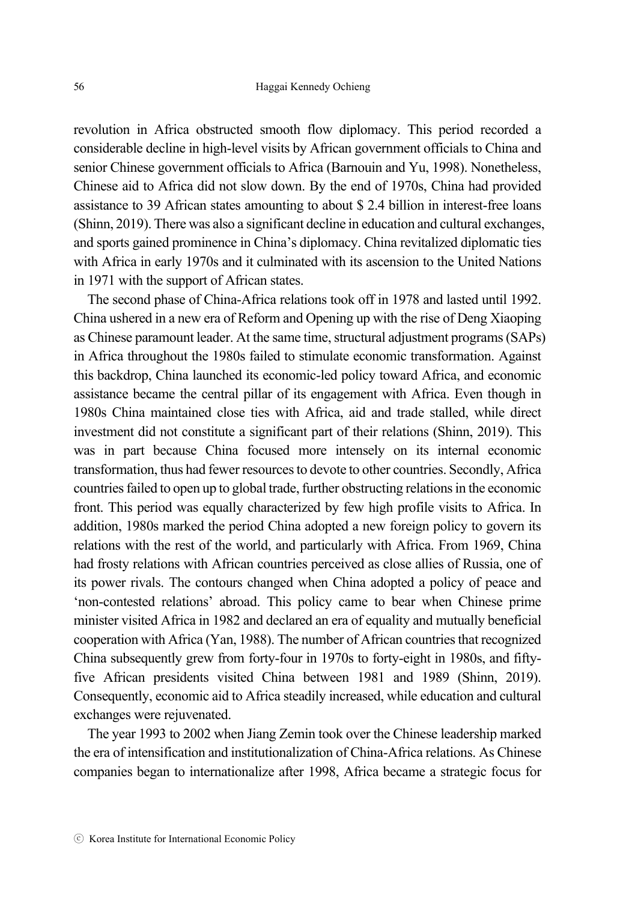revolution in Africa obstructed smooth flow diplomacy. This period recorded a considerable decline in high-level visits by African government officials to China and senior Chinese government officials to Africa (Barnouin and Yu, 1998). Nonetheless, Chinese aid to Africa did not slow down. By the end of 1970s, China had provided assistance to 39 African states amounting to about \$ 2.4 billion in interest-free loans (Shinn, 2019). There was also a significant decline in education and cultural exchanges, and sports gained prominence in China's diplomacy. China revitalized diplomatic ties with Africa in early 1970s and it culminated with its ascension to the United Nations in 1971 with the support of African states.

The second phase of China-Africa relations took off in 1978 and lasted until 1992. China ushered in a new era of Reform and Opening up with the rise of Deng Xiaoping as Chinese paramount leader. At the same time, structural adjustment programs (SAPs) in Africa throughout the 1980s failed to stimulate economic transformation. Against this backdrop, China launched its economic-led policy toward Africa, and economic assistance became the central pillar of its engagement with Africa. Even though in 1980s China maintained close ties with Africa, aid and trade stalled, while direct investment did not constitute a significant part of their relations (Shinn, 2019). This was in part because China focused more intensely on its internal economic transformation, thus had fewer resources to devote to other countries. Secondly, Africa countries failed to open up to global trade, further obstructing relations in the economic front. This period was equally characterized by few high profile visits to Africa. In addition, 1980s marked the period China adopted a new foreign policy to govern its relations with the rest of the world, and particularly with Africa. From 1969, China had frosty relations with African countries perceived as close allies of Russia, one of its power rivals. The contours changed when China adopted a policy of peace and 'non-contested relations' abroad. This policy came to bear when Chinese prime minister visited Africa in 1982 and declared an era of equality and mutually beneficial cooperation with Africa (Yan, 1988). The number of African countries that recognized China subsequently grew from forty-four in 1970s to forty-eight in 1980s, and fiftyfive African presidents visited China between 1981 and 1989 (Shinn, 2019). Consequently, economic aid to Africa steadily increased, while education and cultural exchanges were rejuvenated.

The year 1993 to 2002 when Jiang Zemin took over the Chinese leadership marked the era of intensification and institutionalization of China-Africa relations. As Chinese companies began to internationalize after 1998, Africa became a strategic focus for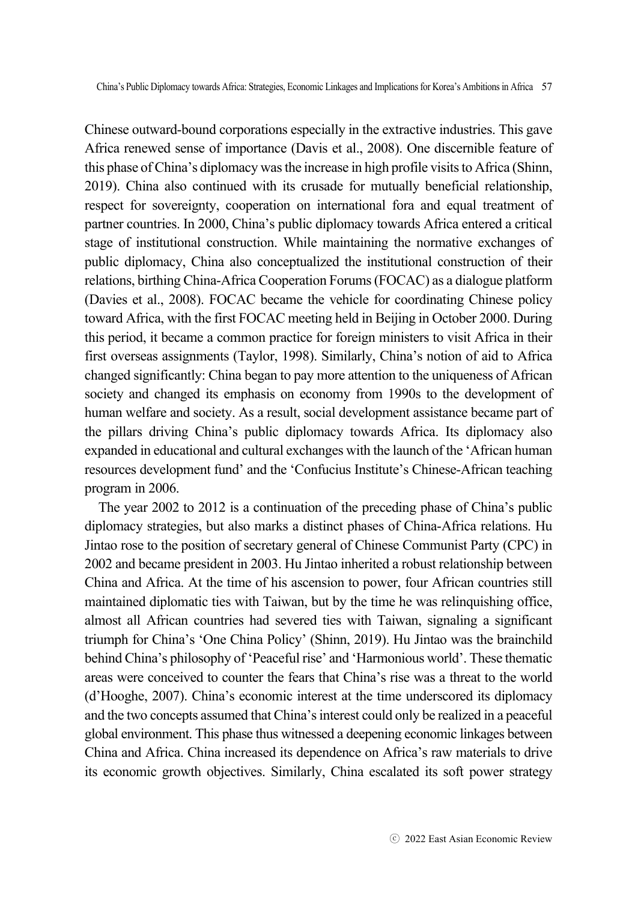Chinese outward-bound corporations especially in the extractive industries. This gave Africa renewed sense of importance (Davis et al., 2008). One discernible feature of this phase of China's diplomacy was the increase in high profile visits to Africa (Shinn, 2019). China also continued with its crusade for mutually beneficial relationship, respect for sovereignty, cooperation on international fora and equal treatment of partner countries. In 2000, China's public diplomacy towards Africa entered a critical stage of institutional construction. While maintaining the normative exchanges of public diplomacy, China also conceptualized the institutional construction of their relations, birthing China-Africa Cooperation Forums (FOCAC) as a dialogue platform (Davies et al., 2008). FOCAC became the vehicle for coordinating Chinese policy toward Africa, with the first FOCAC meeting held in Beijing in October 2000. During this period, it became a common practice for foreign ministers to visit Africa in their first overseas assignments (Taylor, 1998). Similarly, China's notion of aid to Africa changed significantly: China began to pay more attention to the uniqueness of African society and changed its emphasis on economy from 1990s to the development of human welfare and society. As a result, social development assistance became part of the pillars driving China's public diplomacy towards Africa. Its diplomacy also expanded in educational and cultural exchanges with the launch of the 'African human resources development fund' and the 'Confucius Institute's Chinese-African teaching program in 2006.

The year 2002 to 2012 is a continuation of the preceding phase of China's public diplomacy strategies, but also marks a distinct phases of China-Africa relations. Hu Jintao rose to the position of secretary general of Chinese Communist Party (CPC) in 2002 and became president in 2003. Hu Jintao inherited a robust relationship between China and Africa. At the time of his ascension to power, four African countries still maintained diplomatic ties with Taiwan, but by the time he was relinquishing office, almost all African countries had severed ties with Taiwan, signaling a significant triumph for China's 'One China Policy' (Shinn, 2019). Hu Jintao was the brainchild behind China's philosophy of 'Peaceful rise' and 'Harmonious world'. These thematic areas were conceived to counter the fears that China's rise was a threat to the world (d'Hooghe, 2007). China's economic interest at the time underscored its diplomacy and the two concepts assumed that China's interest could only be realized in a peaceful global environment. This phase thus witnessed a deepening economic linkages between China and Africa. China increased its dependence on Africa's raw materials to drive its economic growth objectives. Similarly, China escalated its soft power strategy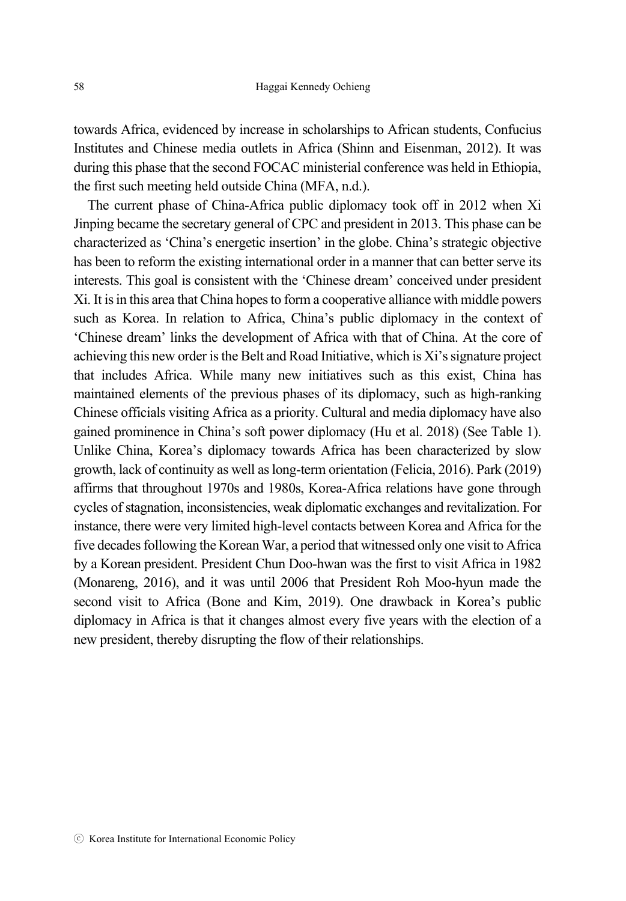towards Africa, evidenced by increase in scholarships to African students, Confucius Institutes and Chinese media outlets in Africa (Shinn and Eisenman, 2012). It was during this phase that the second FOCAC ministerial conference was held in Ethiopia, the first such meeting held outside China (MFA, n.d.).

The current phase of China-Africa public diplomacy took off in 2012 when Xi Jinping became the secretary general of CPC and president in 2013. This phase can be characterized as 'China's energetic insertion' in the globe. China's strategic objective has been to reform the existing international order in a manner that can better serve its interests. This goal is consistent with the 'Chinese dream' conceived under president Xi. It is in this area that China hopes to form a cooperative alliance with middle powers such as Korea. In relation to Africa, China's public diplomacy in the context of 'Chinese dream' links the development of Africa with that of China. At the core of achieving this new order is the Belt and Road Initiative, which is Xi's signature project that includes Africa. While many new initiatives such as this exist, China has maintained elements of the previous phases of its diplomacy, such as high-ranking Chinese officials visiting Africa as a priority. Cultural and media diplomacy have also gained prominence in China's soft power diplomacy (Hu et al. 2018) (See Table 1). Unlike China, Korea's diplomacy towards Africa has been characterized by slow growth, lack of continuity as well as long-term orientation (Felicia, 2016). Park (2019) affirms that throughout 1970s and 1980s, Korea-Africa relations have gone through cycles of stagnation, inconsistencies, weak diplomatic exchanges and revitalization. For instance, there were very limited high-level contacts between Korea and Africa for the five decades following the Korean War, a period that witnessed only one visit to Africa by a Korean president. President Chun Doo-hwan was the first to visit Africa in 1982 (Monareng, 2016), and it was until 2006 that President Roh Moo-hyun made the second visit to Africa (Bone and Kim, 2019). One drawback in Korea's public diplomacy in Africa is that it changes almost every five years with the election of a new president, thereby disrupting the flow of their relationships.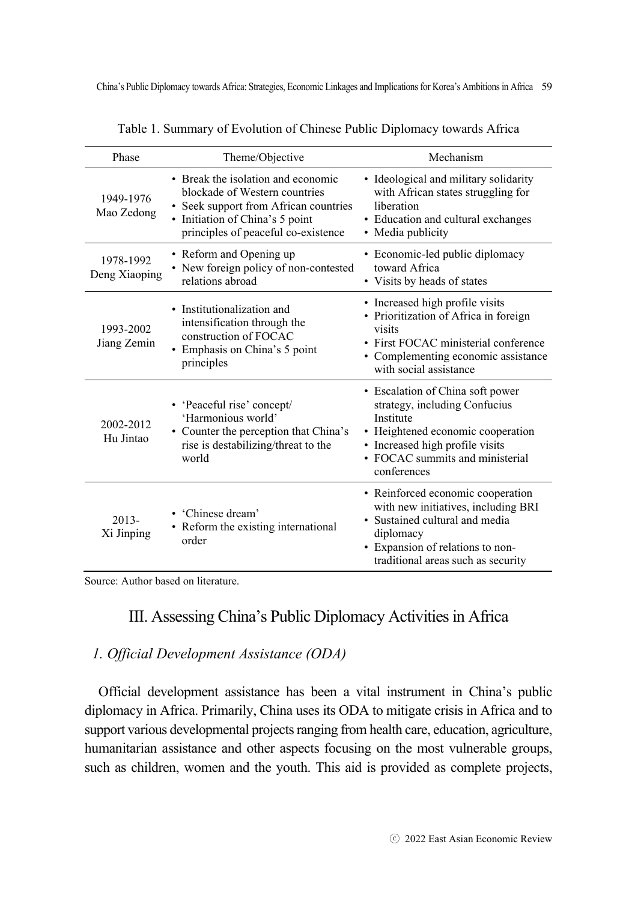| Phase                      | Theme/Objective                                                                                                                                                                        | Mechanism                                                                                                                                                                                                |  |  |
|----------------------------|----------------------------------------------------------------------------------------------------------------------------------------------------------------------------------------|----------------------------------------------------------------------------------------------------------------------------------------------------------------------------------------------------------|--|--|
| 1949-1976<br>Mao Zedong    | • Break the isolation and economic<br>blockade of Western countries<br>• Seek support from African countries<br>• Initiation of China's 5 point<br>principles of peaceful co-existence | · Ideological and military solidarity<br>with African states struggling for<br>liberation<br>• Education and cultural exchanges<br>• Media publicity                                                     |  |  |
| 1978-1992<br>Deng Xiaoping | • Reform and Opening up<br>• New foreign policy of non-contested<br>relations abroad                                                                                                   | • Economic-led public diplomacy<br>toward Africa<br>• Visits by heads of states                                                                                                                          |  |  |
| 1993-2002<br>Jiang Zemin   | • Institutionalization and<br>intensification through the<br>construction of FOCAC<br>• Emphasis on China's 5 point<br>principles                                                      | • Increased high profile visits<br>• Prioritization of Africa in foreign<br>visits<br>• First FOCAC ministerial conference<br>• Complementing economic assistance<br>with social assistance              |  |  |
| 2002-2012<br>Hu Jintao     | • 'Peaceful rise' concept/<br>'Harmonious world'<br>• Counter the perception that China's<br>rise is destabilizing/threat to the<br>world                                              | • Escalation of China soft power<br>strategy, including Confucius<br>Institute<br>• Heightened economic cooperation<br>· Increased high profile visits<br>• FOCAC summits and ministerial<br>conferences |  |  |
| $2013 -$<br>Xi Jinping     | • 'Chinese dream'<br>• Reform the existing international<br>order                                                                                                                      | • Reinforced economic cooperation<br>with new initiatives, including BRI<br>• Sustained cultural and media<br>diplomacy<br>• Expansion of relations to non-<br>traditional areas such as security        |  |  |

Table 1. Summary of Evolution of Chinese Public Diplomacy towards Africa

Source: Author based on literature.

## III. Assessing China's Public Diplomacy Activities in Africa

### *1. Official Development Assistance (ODA)*

Official development assistance has been a vital instrument in China's public diplomacy in Africa. Primarily, China uses its ODA to mitigate crisis in Africa and to support various developmental projects ranging from health care, education, agriculture, humanitarian assistance and other aspects focusing on the most vulnerable groups, such as children, women and the youth. This aid is provided as complete projects,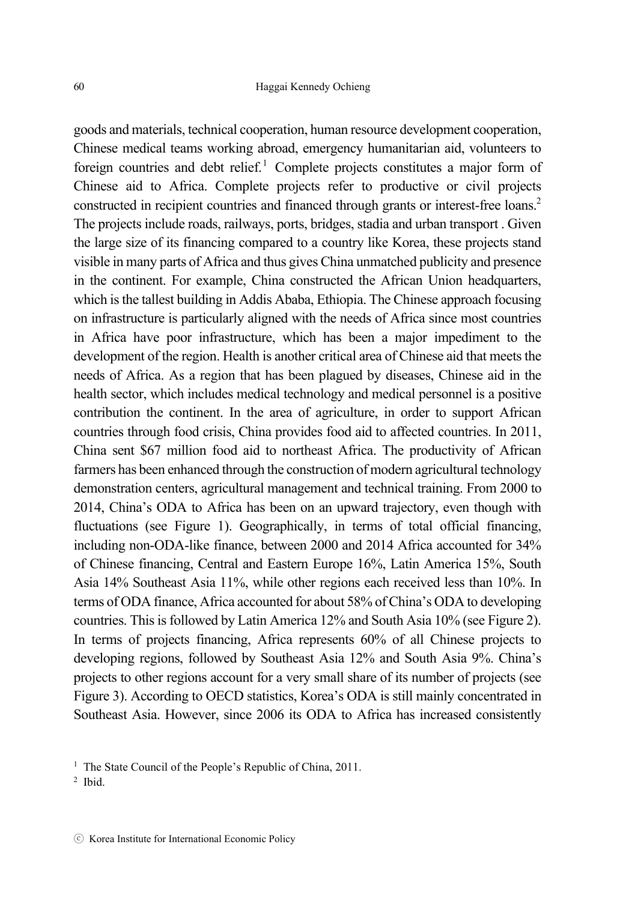goods and materials, technical cooperation, human resource development cooperation, Chinese medical teams working abroad, emergency humanitarian aid, volunteers to foreign countries and debt relief.<sup>1</sup> Complete projects constitutes a major form of Chinese aid to Africa. Complete projects refer to productive or civil projects constructed in recipient countries and financed through grants or interest-free loans.2 The projects include roads, railways, ports, bridges, stadia and urban transport . Given the large size of its financing compared to a country like Korea, these projects stand visible in many parts of Africa and thus gives China unmatched publicity and presence in the continent. For example, China constructed the African Union headquarters, which is the tallest building in Addis Ababa, Ethiopia. The Chinese approach focusing on infrastructure is particularly aligned with the needs of Africa since most countries in Africa have poor infrastructure, which has been a major impediment to the development of the region. Health is another critical area of Chinese aid that meets the needs of Africa. As a region that has been plagued by diseases, Chinese aid in the health sector, which includes medical technology and medical personnel is a positive contribution the continent. In the area of agriculture, in order to support African countries through food crisis, China provides food aid to affected countries. In 2011, China sent \$67 million food aid to northeast Africa. The productivity of African farmers has been enhanced through the construction of modern agricultural technology demonstration centers, agricultural management and technical training. From 2000 to 2014, China's ODA to Africa has been on an upward trajectory, even though with fluctuations (see Figure 1). Geographically, in terms of total official financing, including non-ODA-like finance, between 2000 and 2014 Africa accounted for 34% of Chinese financing, Central and Eastern Europe 16%, Latin America 15%, South Asia 14% Southeast Asia 11%, while other regions each received less than 10%. In terms of ODA finance, Africa accounted for about 58% of China's ODA to developing countries. This is followed by Latin America 12% and South Asia 10% (see Figure 2). In terms of projects financing, Africa represents 60% of all Chinese projects to developing regions, followed by Southeast Asia 12% and South Asia 9%. China's projects to other regions account for a very small share of its number of projects (see Figure 3). According to OECD statistics, Korea's ODA is still mainly concentrated in Southeast Asia. However, since 2006 its ODA to Africa has increased consistently

2 Ibid.

<sup>&</sup>lt;sup>1</sup> The State Council of the People's Republic of China, 2011.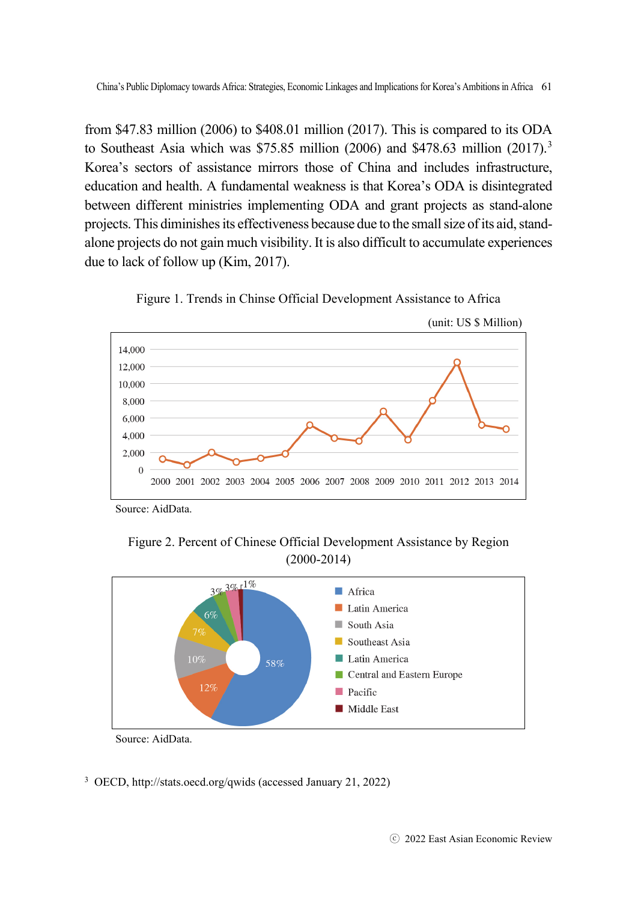from \$47.83 million (2006) to \$408.01 million (2017). This is compared to its ODA to Southeast Asia which was \$75.85 million (2006) and \$478.63 million (2017).<sup>3</sup> Korea's sectors of assistance mirrors those of China and includes infrastructure, education and health. A fundamental weakness is that Korea's ODA is disintegrated between different ministries implementing ODA and grant projects as stand-alone projects. This diminishes its effectiveness because due to the small size of its aid, standalone projects do not gain much visibility. It is also difficult to accumulate experiences due to lack of follow up (Kim, 2017).



Figure 1. Trends in Chinse Official Development Assistance to Africa

Source: AidData.

Figure 2. Percent of Chinese Official Development Assistance by Region (2000-2014)



Source: AidData.

3 OECD, http://stats.oecd.org/qwids (accessed January 21, 2022)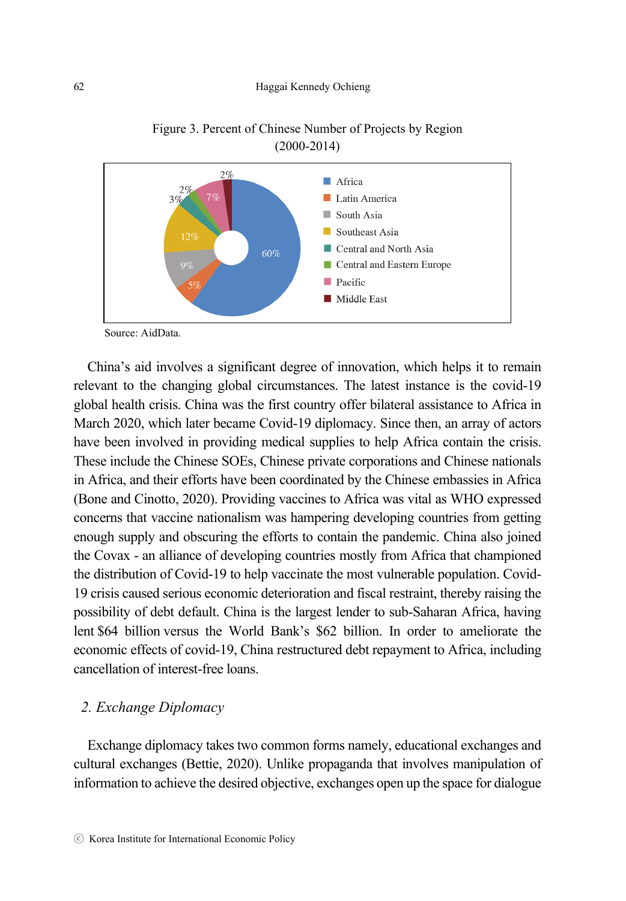

Figure 3. Percent of Chinese Number of Projects by Region (2000-2014)

Source: AidData.

China's aid involves a significant degree of innovation, which helps it to remain relevant to the changing global circumstances. The latest instance is the covid-19 global health crisis. China was the first country offer bilateral assistance to Africa in March 2020, which later became Covid-19 diplomacy. Since then, an array of actors have been involved in providing medical supplies to help Africa contain the crisis. These include the Chinese SOEs, Chinese private corporations and Chinese nationals in Africa, and their efforts have been coordinated by the Chinese embassies in Africa (Bone and Cinotto, 2020). Providing vaccines to Africa was vital as WHO expressed concerns that vaccine nationalism was hampering developing countries from getting enough supply and obscuring the efforts to contain the pandemic. China also joined the Covax - an alliance of developing countries mostly from Africa that championed the distribution of Covid-19 to help vaccinate the most vulnerable population. Covid-19 crisis caused serious economic deterioration and fiscal restraint, thereby raising the possibility of debt default. China is the largest lender to sub-Saharan Africa, having lent \$64 billion versus the World Bank's \$62 billion. In order to ameliorate the economic effects of covid-19, China restructured debt repayment to Africa, including cancellation of interest-free loans.

#### *2. Exchange Diplomacy*

Exchange diplomacy takes two common forms namely, educational exchanges and cultural exchanges (Bettie, 2020). Unlike propaganda that involves manipulation of information to achieve the desired objective, exchanges open up the space for dialogue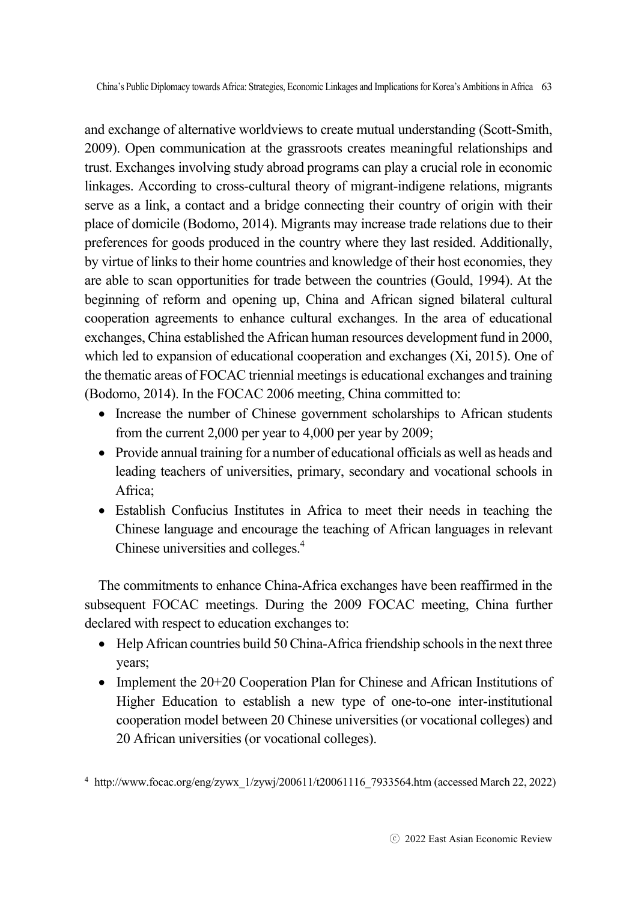and exchange of alternative worldviews to create mutual understanding (Scott-Smith, 2009). Open communication at the grassroots creates meaningful relationships and trust. Exchanges involving study abroad programs can play a crucial role in economic linkages. According to cross-cultural theory of migrant-indigene relations, migrants serve as a link, a contact and a bridge connecting their country of origin with their place of domicile (Bodomo, 2014). Migrants may increase trade relations due to their preferences for goods produced in the country where they last resided. Additionally, by virtue of links to their home countries and knowledge of their host economies, they are able to scan opportunities for trade between the countries (Gould, 1994). At the beginning of reform and opening up, China and African signed bilateral cultural cooperation agreements to enhance cultural exchanges. In the area of educational exchanges, China established the African human resources development fund in 2000, which led to expansion of educational cooperation and exchanges (Xi, 2015). One of the thematic areas of FOCAC triennial meetings is educational exchanges and training (Bodomo, 2014). In the FOCAC 2006 meeting, China committed to:

- Increase the number of Chinese government scholarships to African students from the current 2,000 per year to 4,000 per year by 2009;
- Provide annual training for a number of educational officials as well as heads and leading teachers of universities, primary, secondary and vocational schools in Africa;
- Establish Confucius Institutes in Africa to meet their needs in teaching the Chinese language and encourage the teaching of African languages in relevant Chinese universities and colleges.<sup>4</sup>

The commitments to enhance China-Africa exchanges have been reaffirmed in the subsequent FOCAC meetings. During the 2009 FOCAC meeting, China further declared with respect to education exchanges to:

- Help African countries build 50 China-Africa friendship schools in the next three years;
- Implement the  $20+20$  Cooperation Plan for Chinese and African Institutions of Higher Education to establish a new type of one-to-one inter-institutional cooperation model between 20 Chinese universities (or vocational colleges) and 20 African universities (or vocational colleges).

<sup>4</sup> http://www.focac.org/eng/zywx\_1/zywj/200611/t20061116\_7933564.htm (accessed March 22, 2022)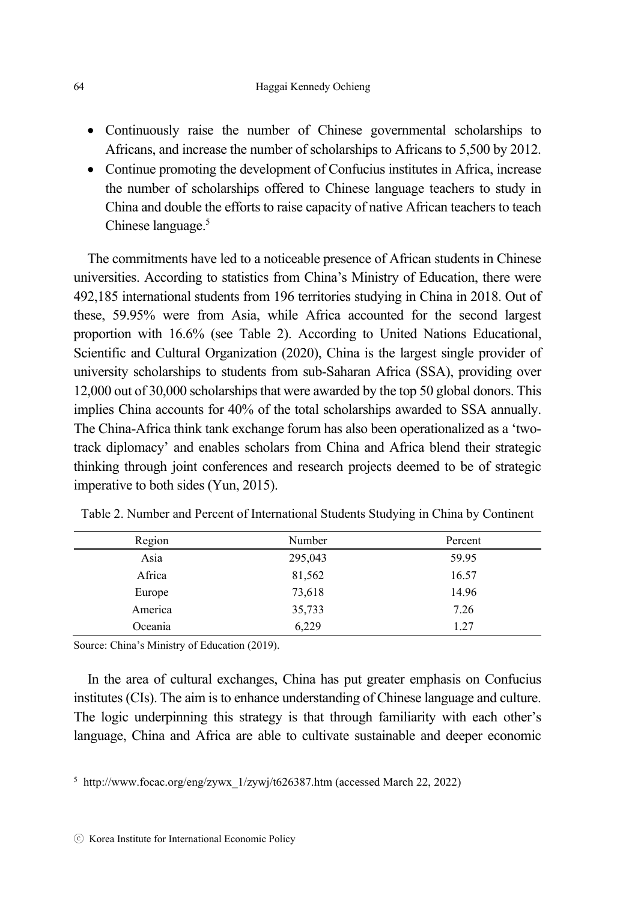- Continuously raise the number of Chinese governmental scholarships to Africans, and increase the number of scholarships to Africans to 5,500 by 2012.
- Continue promoting the development of Confucius institutes in Africa, increase the number of scholarships offered to Chinese language teachers to study in China and double the efforts to raise capacity of native African teachers to teach Chinese language.<sup>5</sup>

The commitments have led to a noticeable presence of African students in Chinese universities. According to statistics from China's Ministry of Education, there were 492,185 international students from 196 territories studying in China in 2018. Out of these, 59.95% were from Asia, while Africa accounted for the second largest proportion with 16.6% (see Table 2). According to United Nations Educational, Scientific and Cultural Organization (2020), China is the largest single provider of university scholarships to students from sub-Saharan Africa (SSA), providing over 12,000 out of 30,000 scholarships that were awarded by the top 50 global donors. This implies China accounts for 40% of the total scholarships awarded to SSA annually. The China-Africa think tank exchange forum has also been operationalized as a 'twotrack diplomacy' and enables scholars from China and Africa blend their strategic thinking through joint conferences and research projects deemed to be of strategic imperative to both sides (Yun, 2015).

| Region  | Number  | Percent |
|---------|---------|---------|
| Asia    | 295,043 | 59.95   |
| Africa  | 81,562  | 16.57   |
| Europe  | 73,618  | 14.96   |
| America | 35,733  | 7.26    |
| Oceania | 6,229   | 1.27    |

Table 2. Number and Percent of International Students Studying in China by Continent

Source: China's Ministry of Education (2019).

In the area of cultural exchanges, China has put greater emphasis on Confucius institutes (CIs). The aim is to enhance understanding of Chinese language and culture. The logic underpinning this strategy is that through familiarity with each other's language, China and Africa are able to cultivate sustainable and deeper economic

<sup>5</sup> http://www.focac.org/eng/zywx\_1/zywj/t626387.htm (accessed March 22, 2022)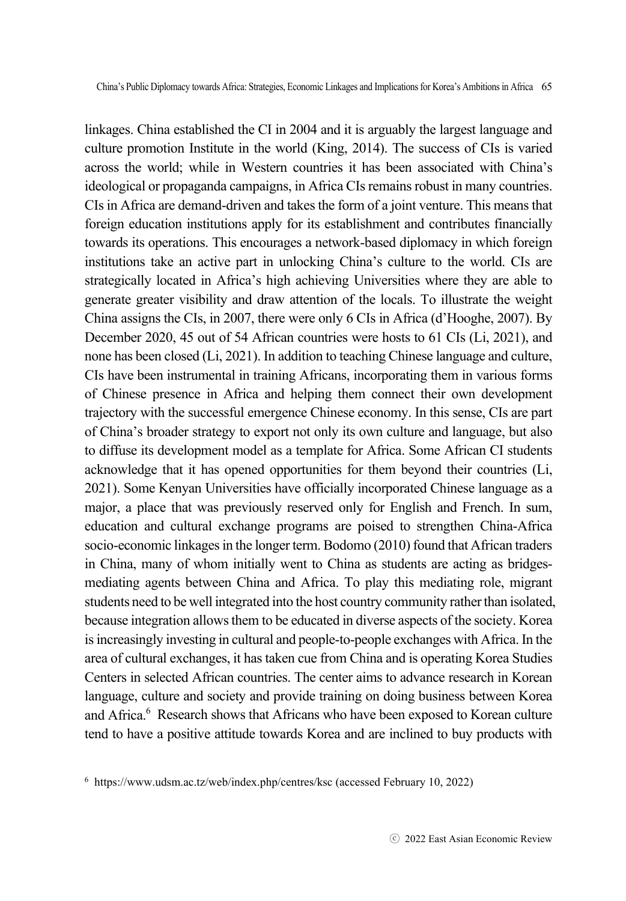linkages. China established the CI in 2004 and it is arguably the largest language and culture promotion Institute in the world (King, 2014). The success of CIs is varied across the world; while in Western countries it has been associated with China's ideological or propaganda campaigns, in Africa CIs remains robust in many countries. CIs in Africa are demand-driven and takes the form of a joint venture. This means that foreign education institutions apply for its establishment and contributes financially towards its operations. This encourages a network-based diplomacy in which foreign institutions take an active part in unlocking China's culture to the world. CIs are strategically located in Africa's high achieving Universities where they are able to generate greater visibility and draw attention of the locals. To illustrate the weight China assigns the CIs, in 2007, there were only 6 CIs in Africa (d'Hooghe, 2007). By December 2020, 45 out of 54 African countries were hosts to 61 CIs (Li, 2021), and none has been closed (Li, 2021). In addition to teaching Chinese language and culture, CIs have been instrumental in training Africans, incorporating them in various forms of Chinese presence in Africa and helping them connect their own development trajectory with the successful emergence Chinese economy. In this sense, CIs are part of China's broader strategy to export not only its own culture and language, but also to diffuse its development model as a template for Africa. Some African CI students acknowledge that it has opened opportunities for them beyond their countries (Li, 2021). Some Kenyan Universities have officially incorporated Chinese language as a major, a place that was previously reserved only for English and French. In sum, education and cultural exchange programs are poised to strengthen China-Africa socio-economic linkages in the longer term. Bodomo (2010) found that African traders in China, many of whom initially went to China as students are acting as bridgesmediating agents between China and Africa. To play this mediating role, migrant students need to be well integrated into the host country community rather than isolated, because integration allows them to be educated in diverse aspects of the society. Korea is increasingly investing in cultural and people-to-people exchanges with Africa. In the area of cultural exchanges, it has taken cue from China and is operating Korea Studies Centers in selected African countries. The center aims to advance research in Korean language, culture and society and provide training on doing business between Korea and Africa.<sup>6</sup> Research shows that Africans who have been exposed to Korean culture tend to have a positive attitude towards Korea and are inclined to buy products with

<sup>6</sup> https://www.udsm.ac.tz/web/index.php/centres/ksc (accessed February 10, 2022)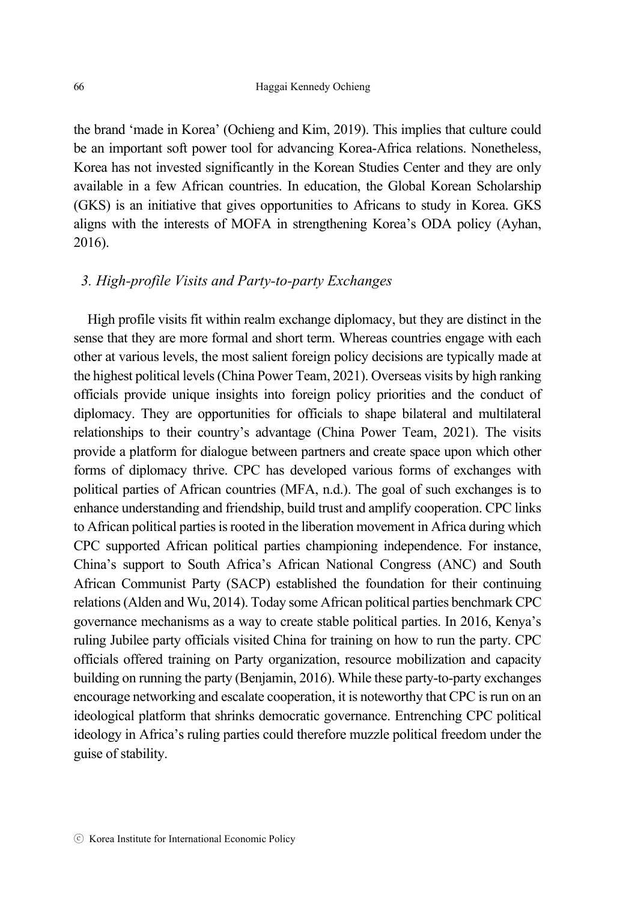the brand 'made in Korea' (Ochieng and Kim, 2019). This implies that culture could be an important soft power tool for advancing Korea-Africa relations. Nonetheless, Korea has not invested significantly in the Korean Studies Center and they are only available in a few African countries. In education, the Global Korean Scholarship (GKS) is an initiative that gives opportunities to Africans to study in Korea. GKS aligns with the interests of MOFA in strengthening Korea's ODA policy (Ayhan, 2016).

#### *3. High-profile Visits and Party-to-party Exchanges*

High profile visits fit within realm exchange diplomacy, but they are distinct in the sense that they are more formal and short term. Whereas countries engage with each other at various levels, the most salient foreign policy decisions are typically made at the highest political levels (China Power Team, 2021). Overseas visits by high ranking officials provide unique insights into foreign policy priorities and the conduct of diplomacy. They are opportunities for officials to shape bilateral and multilateral relationships to their country's advantage (China Power Team, 2021). The visits provide a platform for dialogue between partners and create space upon which other forms of diplomacy thrive. CPC has developed various forms of exchanges with political parties of African countries (MFA, n.d.). The goal of such exchanges is to enhance understanding and friendship, build trust and amplify cooperation. CPC links to African political parties is rooted in the liberation movement in Africa during which CPC supported African political parties championing independence. For instance, China's support to South Africa's African National Congress (ANC) and South African Communist Party (SACP) established the foundation for their continuing relations (Alden and Wu, 2014). Today some African political parties benchmark CPC governance mechanisms as a way to create stable political parties. In 2016, Kenya's ruling Jubilee party officials visited China for training on how to run the party. CPC officials offered training on Party organization, resource mobilization and capacity building on running the party (Benjamin, 2016). While these party-to-party exchanges encourage networking and escalate cooperation, it is noteworthy that CPC is run on an ideological platform that shrinks democratic governance. Entrenching CPC political ideology in Africa's ruling parties could therefore muzzle political freedom under the guise of stability.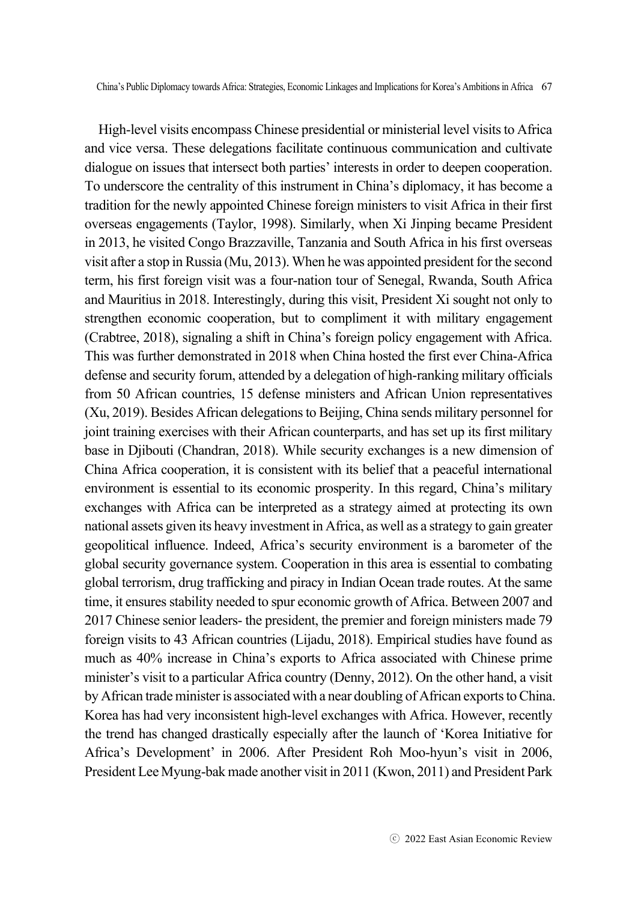High-level visits encompass Chinese presidential or ministerial level visits to Africa and vice versa. These delegations facilitate continuous communication and cultivate dialogue on issues that intersect both parties' interests in order to deepen cooperation. To underscore the centrality of this instrument in China's diplomacy, it has become a tradition for the newly appointed Chinese foreign ministers to visit Africa in their first overseas engagements (Taylor, 1998). Similarly, when Xi Jinping became President in 2013, he visited Congo Brazzaville, Tanzania and South Africa in his first overseas visit after a stop in Russia (Mu, 2013). When he was appointed president for the second term, his first foreign visit was a four-nation tour of Senegal, Rwanda, South Africa and Mauritius in 2018. Interestingly, during this visit, President Xi sought not only to strengthen economic cooperation, but to compliment it with military engagement (Crabtree, 2018), signaling a shift in China's foreign policy engagement with Africa. This was further demonstrated in 2018 when China hosted the first ever China-Africa defense and security forum, attended by a delegation of high-ranking military officials from 50 African countries, 15 defense ministers and African Union representatives (Xu, 2019). Besides African delegations to Beijing, China sends military personnel for joint training exercises with their African counterparts, and has set up its first military base in Djibouti (Chandran, 2018). While security exchanges is a new dimension of China Africa cooperation, it is consistent with its belief that a peaceful international environment is essential to its economic prosperity. In this regard, China's military exchanges with Africa can be interpreted as a strategy aimed at protecting its own national assets given its heavy investment in Africa, as well as a strategy to gain greater geopolitical influence. Indeed, Africa's security environment is a barometer of the global security governance system. Cooperation in this area is essential to combating global terrorism, drug trafficking and piracy in Indian Ocean trade routes. At the same time, it ensures stability needed to spur economic growth of Africa. Between 2007 and 2017 Chinese senior leaders- the president, the premier and foreign ministers made 79 foreign visits to 43 African countries (Lijadu, 2018). Empirical studies have found as much as 40% increase in China's exports to Africa associated with Chinese prime minister's visit to a particular Africa country (Denny, 2012). On the other hand, a visit by African trade minister is associated with a near doubling of African exports to China. Korea has had very inconsistent high-level exchanges with Africa. However, recently the trend has changed drastically especially after the launch of 'Korea Initiative for Africa's Development' in 2006. After President Roh Moo-hyun's visit in 2006, President Lee Myung-bak made another visit in 2011 (Kwon, 2011) and President Park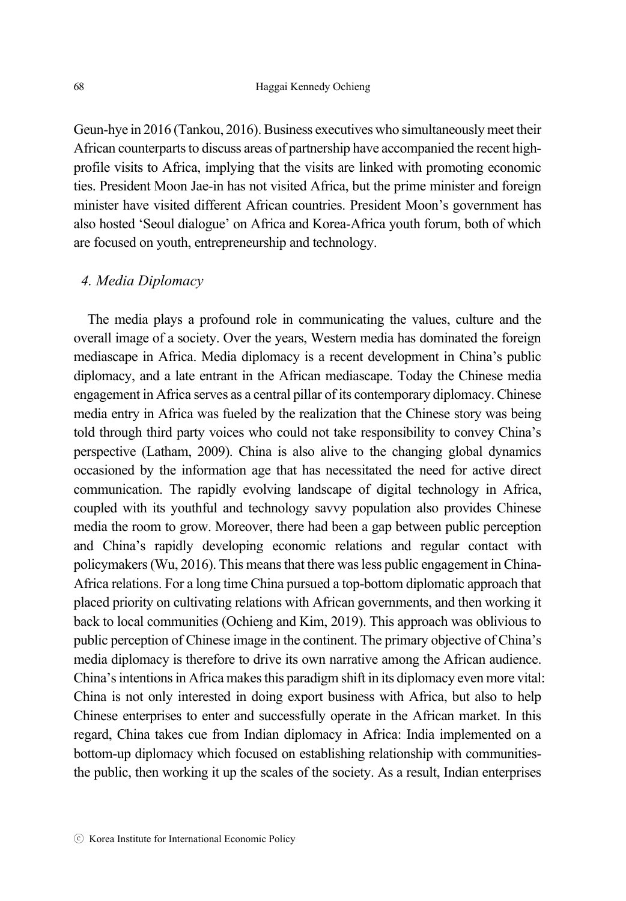Geun-hye in 2016 (Tankou, 2016). Business executives who simultaneously meet their African counterparts to discuss areas of partnership have accompanied the recent highprofile visits to Africa, implying that the visits are linked with promoting economic ties. President Moon Jae-in has not visited Africa, but the prime minister and foreign minister have visited different African countries. President Moon's government has also hosted 'Seoul dialogue' on Africa and Korea-Africa youth forum, both of which are focused on youth, entrepreneurship and technology.

#### *4. Media Diplomacy*

The media plays a profound role in communicating the values, culture and the overall image of a society. Over the years, Western media has dominated the foreign mediascape in Africa. Media diplomacy is a recent development in China's public diplomacy, and a late entrant in the African mediascape. Today the Chinese media engagement in Africa serves as a central pillar of its contemporary diplomacy. Chinese media entry in Africa was fueled by the realization that the Chinese story was being told through third party voices who could not take responsibility to convey China's perspective (Latham, 2009). China is also alive to the changing global dynamics occasioned by the information age that has necessitated the need for active direct communication. The rapidly evolving landscape of digital technology in Africa, coupled with its youthful and technology savvy population also provides Chinese media the room to grow. Moreover, there had been a gap between public perception and China's rapidly developing economic relations and regular contact with policymakers (Wu, 2016). This means that there was less public engagement in China-Africa relations. For a long time China pursued a top-bottom diplomatic approach that placed priority on cultivating relations with African governments, and then working it back to local communities (Ochieng and Kim, 2019). This approach was oblivious to public perception of Chinese image in the continent. The primary objective of China's media diplomacy is therefore to drive its own narrative among the African audience. China's intentions in Africa makes this paradigm shift in its diplomacy even more vital: China is not only interested in doing export business with Africa, but also to help Chinese enterprises to enter and successfully operate in the African market. In this regard, China takes cue from Indian diplomacy in Africa: India implemented on a bottom-up diplomacy which focused on establishing relationship with communitiesthe public, then working it up the scales of the society. As a result, Indian enterprises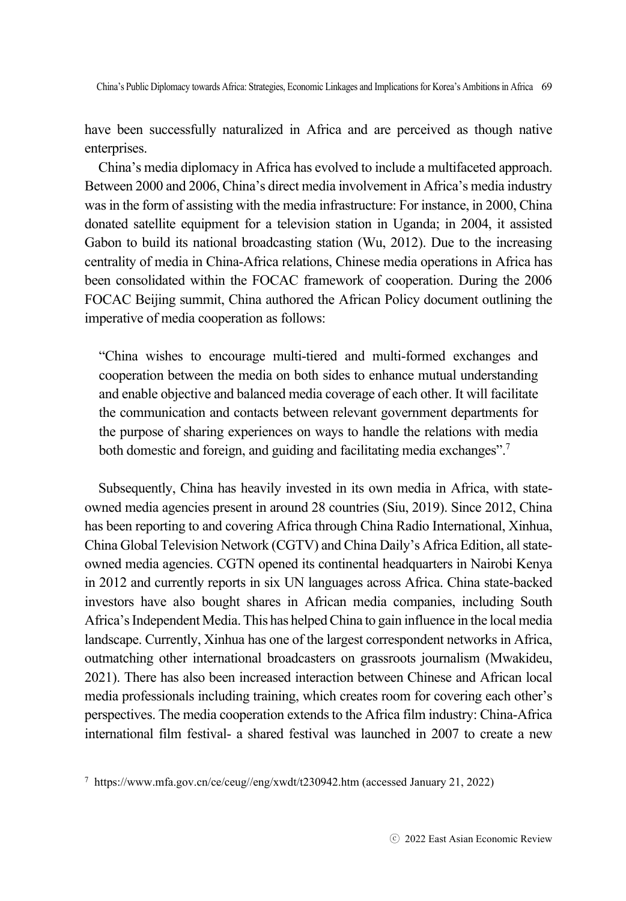have been successfully naturalized in Africa and are perceived as though native enterprises.

China's media diplomacy in Africa has evolved to include a multifaceted approach. Between 2000 and 2006, China's direct media involvement in Africa's media industry was in the form of assisting with the media infrastructure: For instance, in 2000, China donated satellite equipment for a television station in Uganda; in 2004, it assisted Gabon to build its national broadcasting station (Wu, 2012). Due to the increasing centrality of media in China-Africa relations, Chinese media operations in Africa has been consolidated within the FOCAC framework of cooperation. During the 2006 FOCAC Beijing summit, China authored the African Policy document outlining the imperative of media cooperation as follows:

"China wishes to encourage multi-tiered and multi-formed exchanges and cooperation between the media on both sides to enhance mutual understanding and enable objective and balanced media coverage of each other. It will facilitate the communication and contacts between relevant government departments for the purpose of sharing experiences on ways to handle the relations with media both domestic and foreign, and guiding and facilitating media exchanges".<sup>7</sup>

Subsequently, China has heavily invested in its own media in Africa, with stateowned media agencies present in around 28 countries (Siu, 2019). Since 2012, China has been reporting to and covering Africa through China Radio International, Xinhua, China Global Television Network (CGTV) and China Daily's Africa Edition, all stateowned media agencies. CGTN opened its continental headquarters in Nairobi Kenya in 2012 and currently reports in six UN languages across Africa. China state-backed investors have also bought shares in African media companies, including South Africa's Independent Media. This has helped China to gain influence in the local media landscape. Currently, Xinhua has one of the largest correspondent networks in Africa, outmatching other international broadcasters on grassroots journalism (Mwakideu, 2021). There has also been increased interaction between Chinese and African local media professionals including training, which creates room for covering each other's perspectives. The media cooperation extends to the Africa film industry: China-Africa international film festival- a shared festival was launched in 2007 to create a new

<sup>7</sup> https://www.mfa.gov.cn/ce/ceug//eng/xwdt/t230942.htm (accessed January 21, 2022)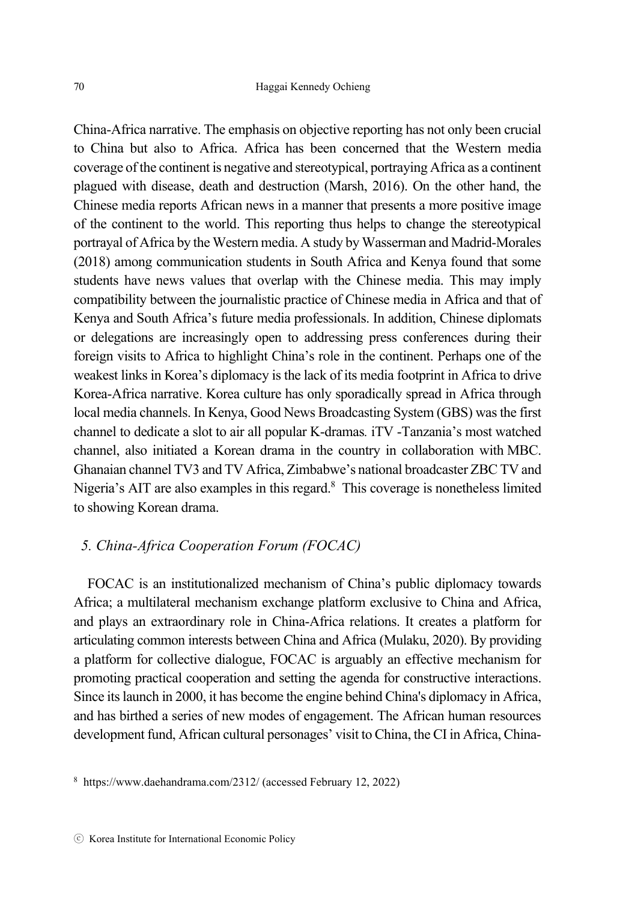China-Africa narrative. The emphasis on objective reporting has not only been crucial to China but also to Africa. Africa has been concerned that the Western media coverage of the continent is negative and stereotypical, portraying Africa as a continent plagued with disease, death and destruction (Marsh, 2016). On the other hand, the Chinese media reports African news in a manner that presents a more positive image of the continent to the world. This reporting thus helps to change the stereotypical portrayal of Africa by the Western media. A study by Wasserman and Madrid-Morales (2018) among communication students in South Africa and Kenya found that some students have news values that overlap with the Chinese media. This may imply compatibility between the journalistic practice of Chinese media in Africa and that of Kenya and South Africa's future media professionals. In addition, Chinese diplomats or delegations are increasingly open to addressing press conferences during their foreign visits to Africa to highlight China's role in the continent. Perhaps one of the weakest links in Korea's diplomacy is the lack of its media footprint in Africa to drive Korea-Africa narrative. Korea culture has only sporadically spread in Africa through local media channels. In Kenya, Good News Broadcasting System (GBS) was the first channel to dedicate a slot to air all popular K-dramas*.* iTV -Tanzania's most watched channel, also initiated a Korean drama in the country in collaboration with MBC. Ghanaian channel TV3 and TV Africa, Zimbabwe's national broadcaster ZBC TV and Nigeria's AIT are also examples in this regard.<sup>8</sup> This coverage is nonetheless limited to showing Korean drama.

## *5. China-Africa Cooperation Forum (FOCAC)*

FOCAC is an institutionalized mechanism of China's public diplomacy towards Africa; a multilateral mechanism exchange platform exclusive to China and Africa, and plays an extraordinary role in China-Africa relations. It creates a platform for articulating common interests between China and Africa (Mulaku, 2020). By providing a platform for collective dialogue, FOCAC is arguably an effective mechanism for promoting practical cooperation and setting the agenda for constructive interactions. Since its launch in 2000, it has become the engine behind China's diplomacy in Africa, and has birthed a series of new modes of engagement. The African human resources development fund, African cultural personages' visit to China, the CI in Africa, China-

<sup>8</sup> https://www.daehandrama.com/2312/ (accessed February 12, 2022)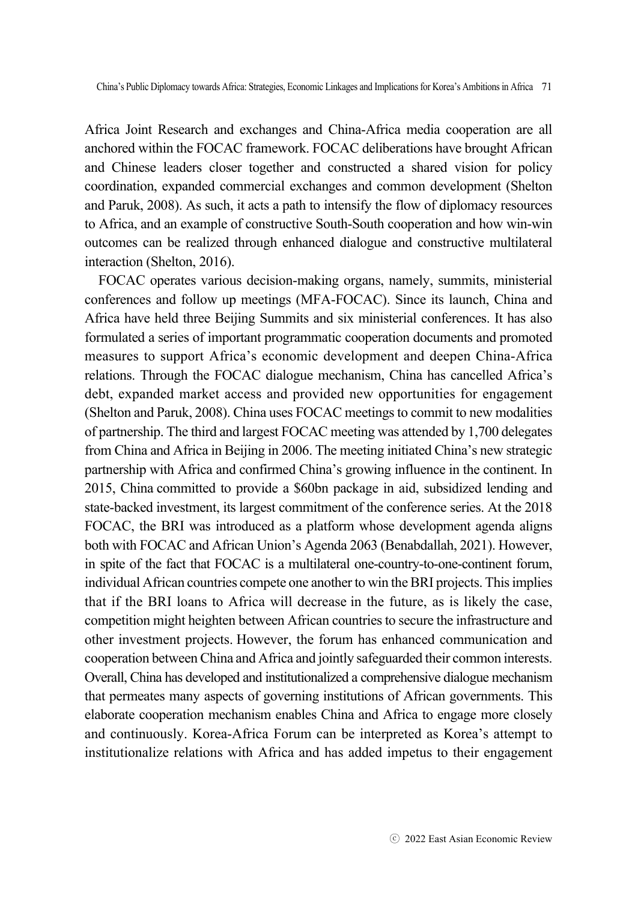Africa Joint Research and exchanges and China-Africa media cooperation are all anchored within the FOCAC framework. FOCAC deliberations have brought African and Chinese leaders closer together and constructed a shared vision for policy coordination, expanded commercial exchanges and common development (Shelton and Paruk, 2008). As such, it acts a path to intensify the flow of diplomacy resources to Africa, and an example of constructive South-South cooperation and how win-win outcomes can be realized through enhanced dialogue and constructive multilateral interaction (Shelton, 2016).

FOCAC operates various decision-making organs, namely, summits, ministerial conferences and follow up meetings (MFA-FOCAC). Since its launch, China and Africa have held three Beijing Summits and six ministerial conferences. It has also formulated a series of important programmatic cooperation documents and promoted measures to support Africa's economic development and deepen China-Africa relations. Through the FOCAC dialogue mechanism, China has cancelled Africa's debt, expanded market access and provided new opportunities for engagement (Shelton and Paruk, 2008). China uses FOCAC meetings to commit to new modalities of partnership. The third and largest FOCAC meeting was attended by 1,700 delegates from China and Africa in Beijing in 2006. The meeting initiated China's new strategic partnership with Africa and confirmed China's growing influence in the continent. In 2015, China committed to provide a \$60bn package in aid, subsidized lending and state-backed investment, its largest commitment of the conference series. At the 2018 FOCAC, the BRI was introduced as a platform whose development agenda aligns both with FOCAC and African Union's Agenda 2063 (Benabdallah, 2021). However, in spite of the fact that FOCAC is a multilateral one-country-to-one-continent forum, individual African countries compete one another to win the BRI projects. This implies that if the BRI loans to Africa will decrease in the future, as is likely the case, competition might heighten between African countries to secure the infrastructure and other investment projects. However, the forum has enhanced communication and cooperation between China and Africa and jointly safeguarded their common interests. Overall, China has developed and institutionalized a comprehensive dialogue mechanism that permeates many aspects of governing institutions of African governments. This elaborate cooperation mechanism enables China and Africa to engage more closely and continuously. Korea-Africa Forum can be interpreted as Korea's attempt to institutionalize relations with Africa and has added impetus to their engagement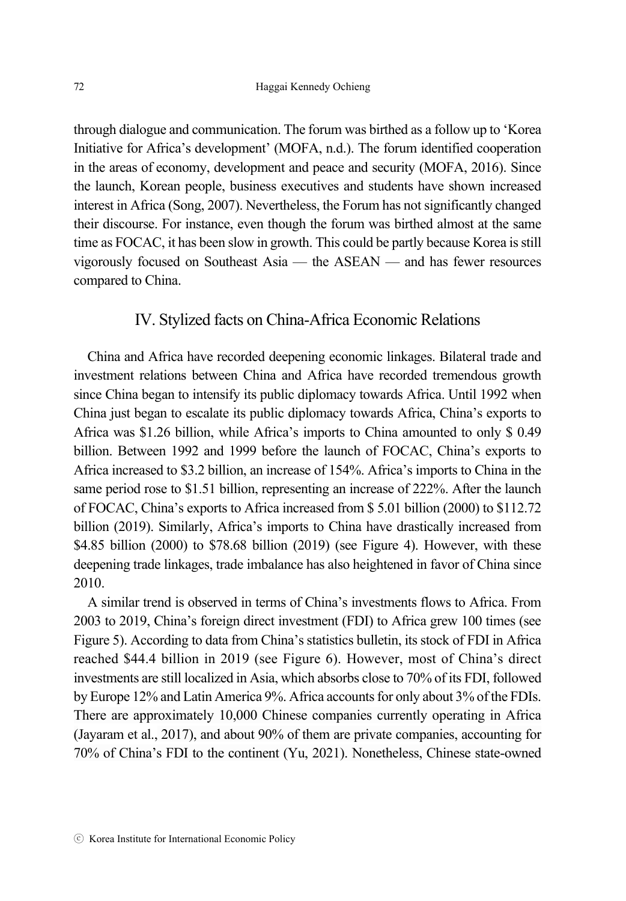through dialogue and communication. The forum was birthed as a follow up to 'Korea Initiative for Africa's development' (MOFA, n.d.). The forum identified cooperation in the areas of economy, development and peace and security (MOFA, 2016). Since the launch, Korean people, business executives and students have shown increased interest in Africa (Song, 2007). Nevertheless, the Forum has not significantly changed their discourse. For instance, even though the forum was birthed almost at the same time as FOCAC, it has been slow in growth. This could be partly because Korea is still vigorously focused on Southeast Asia — the ASEAN — and has fewer resources compared to China.

### IV. Stylized facts on China-Africa Economic Relations

China and Africa have recorded deepening economic linkages. Bilateral trade and investment relations between China and Africa have recorded tremendous growth since China began to intensify its public diplomacy towards Africa. Until 1992 when China just began to escalate its public diplomacy towards Africa, China's exports to Africa was \$1.26 billion, while Africa's imports to China amounted to only \$ 0.49 billion. Between 1992 and 1999 before the launch of FOCAC, China's exports to Africa increased to \$3.2 billion, an increase of 154%. Africa's imports to China in the same period rose to \$1.51 billion, representing an increase of 222%. After the launch of FOCAC, China's exports to Africa increased from \$ 5.01 billion (2000) to \$112.72 billion (2019). Similarly, Africa's imports to China have drastically increased from \$4.85 billion (2000) to \$78.68 billion (2019) (see Figure 4). However, with these deepening trade linkages, trade imbalance has also heightened in favor of China since 2010.

A similar trend is observed in terms of China's investments flows to Africa. From 2003 to 2019, China's foreign direct investment (FDI) to Africa grew 100 times (see Figure 5). According to data from China's statistics bulletin, its stock of FDI in Africa reached \$44.4 billion in 2019 (see Figure 6). However, most of China's direct investments are still localized in Asia, which absorbs close to 70% of its FDI, followed by Europe 12% and Latin America 9%. Africa accounts for only about 3% of the FDIs. There are approximately 10,000 Chinese companies currently operating in Africa (Jayaram et al., 2017), and about 90% of them are private companies, accounting for 70% of China's FDI to the continent (Yu, 2021). Nonetheless, Chinese state-owned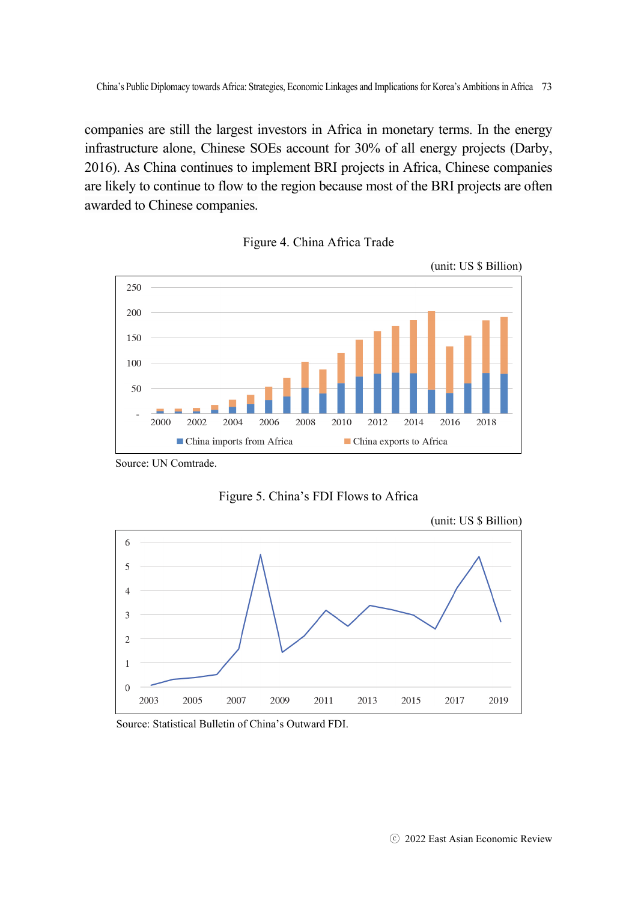companies are still the largest investors in Africa in monetary terms. In the energy infrastructure alone, Chinese SOEs account for 30% of all energy projects (Darby, 2016). As China continues to implement BRI projects in Africa, Chinese companies are likely to continue to flow to the region because most of the BRI projects are often awarded to Chinese companies.





Source: UN Comtrade.





Source: Statistical Bulletin of China's Outward FDI.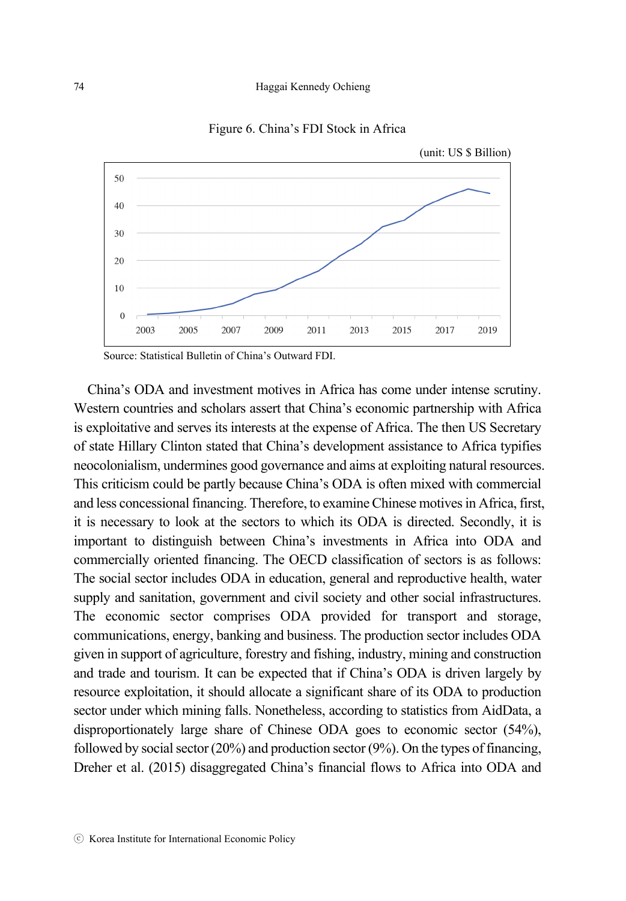#### 74 Haggai Kennedy Ochieng



Figure 6. China's FDI Stock in Africa

Source: Statistical Bulletin of China's Outward FDI.

China's ODA and investment motives in Africa has come under intense scrutiny. Western countries and scholars assert that China's economic partnership with Africa is exploitative and serves its interests at the expense of Africa. The then US Secretary of state Hillary Clinton stated that China's development assistance to Africa typifies neocolonialism, undermines good governance and aims at exploiting natural resources. This criticism could be partly because China's ODA is often mixed with commercial and less concessional financing. Therefore, to examine Chinese motives in Africa, first, it is necessary to look at the sectors to which its ODA is directed. Secondly, it is important to distinguish between China's investments in Africa into ODA and commercially oriented financing. The OECD classification of sectors is as follows: The social sector includes ODA in education, general and reproductive health, water supply and sanitation, government and civil society and other social infrastructures. The economic sector comprises ODA provided for transport and storage, communications, energy, banking and business. The production sector includes ODA given in support of agriculture, forestry and fishing, industry, mining and construction and trade and tourism. It can be expected that if China's ODA is driven largely by resource exploitation, it should allocate a significant share of its ODA to production sector under which mining falls. Nonetheless, according to statistics from AidData, a disproportionately large share of Chinese ODA goes to economic sector (54%), followed by social sector (20%) and production sector (9%). On the types of financing, Dreher et al. (2015) disaggregated China's financial flows to Africa into ODA and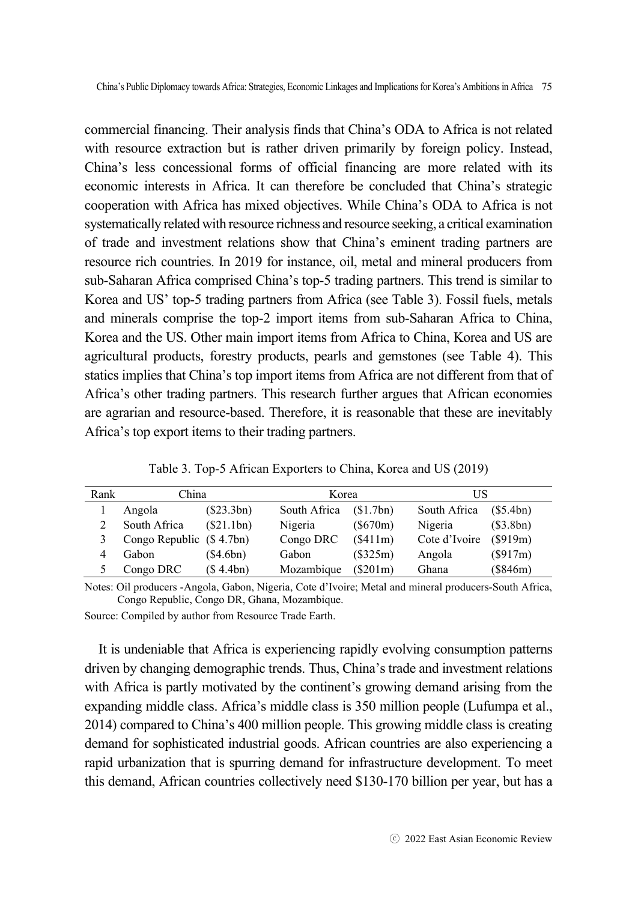commercial financing. Their analysis finds that China's ODA to Africa is not related with resource extraction but is rather driven primarily by foreign policy. Instead, China's less concessional forms of official financing are more related with its economic interests in Africa. It can therefore be concluded that China's strategic cooperation with Africa has mixed objectives. While China's ODA to Africa is not systematically related with resource richness and resource seeking, a critical examination of trade and investment relations show that China's eminent trading partners are resource rich countries. In 2019 for instance, oil, metal and mineral producers from sub-Saharan Africa comprised China's top-5 trading partners. This trend is similar to Korea and US' top-5 trading partners from Africa (see Table 3). Fossil fuels, metals and minerals comprise the top-2 import items from sub-Saharan Africa to China, Korea and the US. Other main import items from Africa to China, Korea and US are agricultural products, forestry products, pearls and gemstones (see Table 4). This statics implies that China's top import items from Africa are not different from that of Africa's other trading partners. This research further argues that African economies are agrarian and resource-based. Therefore, it is reasonable that these are inevitably Africa's top export items to their trading partners.

| Rank | China                    |            | Korea        |          | US            |           |
|------|--------------------------|------------|--------------|----------|---------------|-----------|
|      | Angola                   | (\$23.3bn) | South Africa | (S1.7bn) | South Africa  | (S5.4bn)  |
|      | South Africa             | (\$21.1bn) | Nigeria      | (\$670m) | Nigeria       | (\$3.8bn) |
|      | Congo Republic (\$4.7bn) |            | Congo DRC    | (\$411m) | Cote d'Ivoire | (S919m)   |
|      | Gabon                    | (\$4.6bn)  | Gabon        | (\$325m) | Angola        | (S917m)   |
|      | Congo DRC                | (S 4.4bn)  | Mozambique   | (S201m)  | Ghana         | (\$846m)  |

Table 3. Top-5 African Exporters to China, Korea and US (2019)

Notes: Oil producers -Angola, Gabon, Nigeria, Cote d'Ivoire; Metal and mineral producers-South Africa, Congo Republic, Congo DR, Ghana, Mozambique.

Source: Compiled by author from Resource Trade Earth.

It is undeniable that Africa is experiencing rapidly evolving consumption patterns driven by changing demographic trends. Thus, China's trade and investment relations with Africa is partly motivated by the continent's growing demand arising from the expanding middle class. Africa's middle class is 350 million people (Lufumpa et al., 2014) compared to China's 400 million people. This growing middle class is creating demand for sophisticated industrial goods. African countries are also experiencing a rapid urbanization that is spurring demand for infrastructure development. To meet this demand, African countries collectively need \$130-170 billion per year, but has a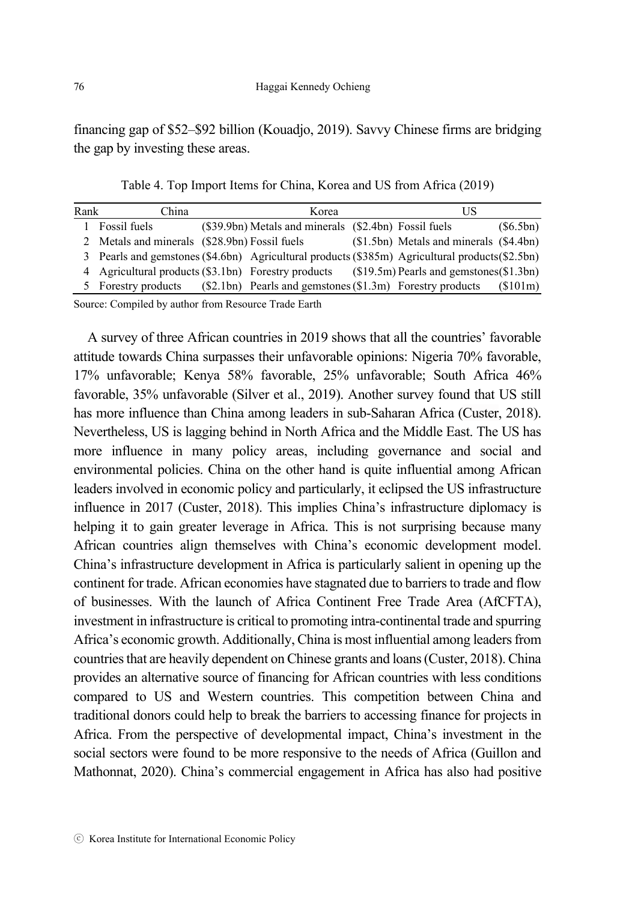financing gap of \$52–\$92 billion (Kouadjo, 2019). Savvy Chinese firms are bridging the gap by investing these areas.

Table 4. Top Import Items for China, Korea and US from Africa (2019)

| Rank | China                                                |  | Korea                                                                                               |  |                                            |           |
|------|------------------------------------------------------|--|-----------------------------------------------------------------------------------------------------|--|--------------------------------------------|-----------|
|      | Fossil fuels                                         |  | (\$39.9bn) Metals and minerals (\$2.4bn) Fossil fuels                                               |  |                                            | (\$6.5bn) |
|      | 2 Metals and minerals (\$28.9bn) Fossil fuels        |  |                                                                                                     |  | $(S1.5bn)$ Metals and minerals $(S4.4bn)$  |           |
| 3.   |                                                      |  | Pearls and gemstones $(\$4.6bn)$ Agricultural products $(\$385m)$ Agricultural products $(\$2.5bn)$ |  |                                            |           |
|      | 4 Agricultural products (\$3.1bn) Forestry products  |  |                                                                                                     |  | $($19.5m)$ Pearls and gemstones $($1.3bn)$ |           |
| 5.   | Forestry products                                    |  | (\$2.1bn) Pearls and gemstones (\$1.3m) Forestry products                                           |  |                                            | (\$101m)  |
|      | Source: Compiled by author from Resource Trade Earth |  |                                                                                                     |  |                                            |           |

A survey of three African countries in 2019 shows that all the countries' favorable attitude towards China surpasses their unfavorable opinions: Nigeria 70% favorable, 17% unfavorable; Kenya 58% favorable, 25% unfavorable; South Africa 46% favorable, 35% unfavorable (Silver et al., 2019). Another survey found that US still has more influence than China among leaders in sub-Saharan Africa (Custer, 2018). Nevertheless, US is lagging behind in North Africa and the Middle East. The US has more influence in many policy areas, including governance and social and environmental policies. China on the other hand is quite influential among African leaders involved in economic policy and particularly, it eclipsed the US infrastructure influence in 2017 (Custer, 2018). This implies China's infrastructure diplomacy is helping it to gain greater leverage in Africa. This is not surprising because many African countries align themselves with China's economic development model. China's infrastructure development in Africa is particularly salient in opening up the continent for trade. African economies have stagnated due to barriers to trade and flow of businesses. With the launch of Africa Continent Free Trade Area (AfCFTA), investment in infrastructure is critical to promoting intra-continental trade and spurring Africa's economic growth. Additionally, China is most influential among leaders from countries that are heavily dependent on Chinese grants and loans (Custer, 2018). China provides an alternative source of financing for African countries with less conditions compared to US and Western countries. This competition between China and traditional donors could help to break the barriers to accessing finance for projects in Africa. From the perspective of developmental impact, China's investment in the social sectors were found to be more responsive to the needs of Africa (Guillon and Mathonnat, 2020). China's commercial engagement in Africa has also had positive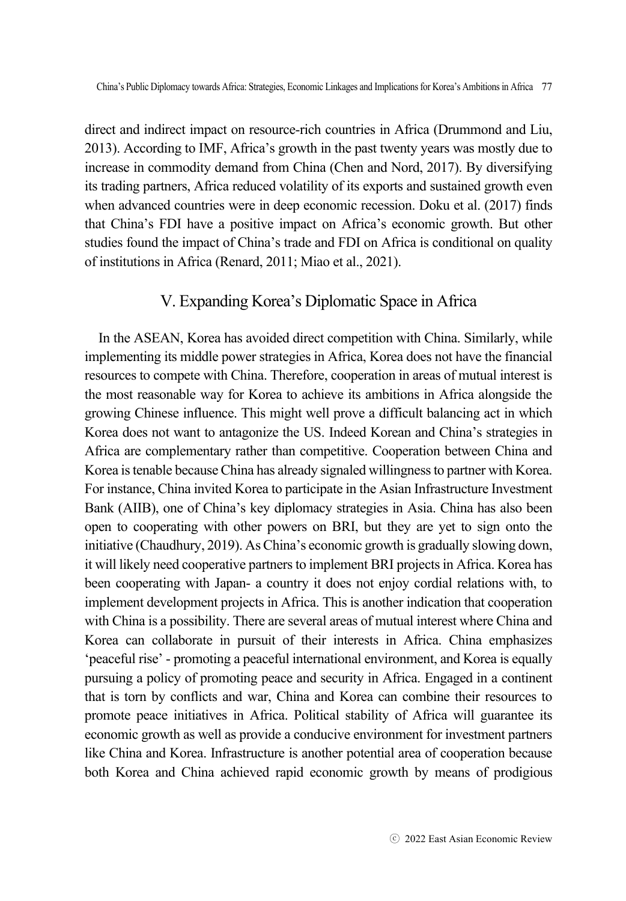direct and indirect impact on resource-rich countries in Africa (Drummond and Liu, 2013). According to IMF, Africa's growth in the past twenty years was mostly due to increase in commodity demand from China (Chen and Nord, 2017). By diversifying its trading partners, Africa reduced volatility of its exports and sustained growth even when advanced countries were in deep economic recession. Doku et al. (2017) finds that China's FDI have a positive impact on Africa's economic growth. But other studies found the impact of China's trade and FDI on Africa is conditional on quality of institutions in Africa (Renard, 2011; Miao et al., 2021).

## V. Expanding Korea's Diplomatic Space in Africa

In the ASEAN, Korea has avoided direct competition with China. Similarly, while implementing its middle power strategies in Africa, Korea does not have the financial resources to compete with China. Therefore, cooperation in areas of mutual interest is the most reasonable way for Korea to achieve its ambitions in Africa alongside the growing Chinese influence. This might well prove a difficult balancing act in which Korea does not want to antagonize the US. Indeed Korean and China's strategies in Africa are complementary rather than competitive. Cooperation between China and Korea is tenable because China has already signaled willingness to partner with Korea. For instance, China invited Korea to participate in the Asian Infrastructure Investment Bank (AIIB), one of China's key diplomacy strategies in Asia. China has also been open to cooperating with other powers on BRI, but they are yet to sign onto the initiative (Chaudhury, 2019). As China's economic growth is gradually slowing down, it will likely need cooperative partners to implement BRI projects in Africa. Korea has been cooperating with Japan- a country it does not enjoy cordial relations with, to implement development projects in Africa. This is another indication that cooperation with China is a possibility. There are several areas of mutual interest where China and Korea can collaborate in pursuit of their interests in Africa. China emphasizes 'peaceful rise' - promoting a peaceful international environment, and Korea is equally pursuing a policy of promoting peace and security in Africa. Engaged in a continent that is torn by conflicts and war, China and Korea can combine their resources to promote peace initiatives in Africa. Political stability of Africa will guarantee its economic growth as well as provide a conducive environment for investment partners like China and Korea. Infrastructure is another potential area of cooperation because both Korea and China achieved rapid economic growth by means of prodigious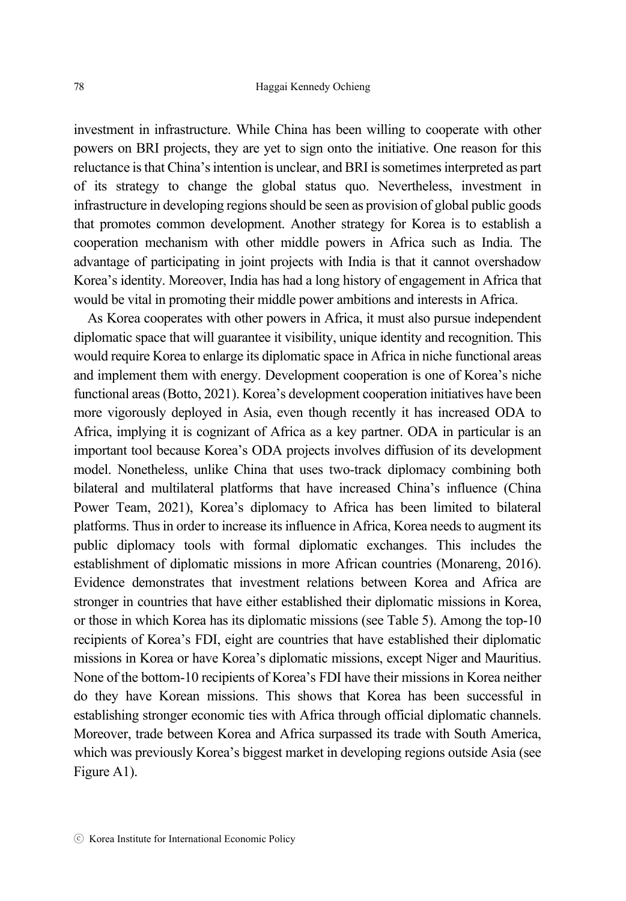investment in infrastructure. While China has been willing to cooperate with other powers on BRI projects, they are yet to sign onto the initiative. One reason for this reluctance is that China's intention is unclear, and BRI is sometimes interpreted as part of its strategy to change the global status quo. Nevertheless, investment in infrastructure in developing regions should be seen as provision of global public goods that promotes common development. Another strategy for Korea is to establish a cooperation mechanism with other middle powers in Africa such as India. The advantage of participating in joint projects with India is that it cannot overshadow Korea's identity. Moreover, India has had a long history of engagement in Africa that would be vital in promoting their middle power ambitions and interests in Africa.

As Korea cooperates with other powers in Africa, it must also pursue independent diplomatic space that will guarantee it visibility, unique identity and recognition. This would require Korea to enlarge its diplomatic space in Africa in niche functional areas and implement them with energy. Development cooperation is one of Korea's niche functional areas (Botto, 2021). Korea's development cooperation initiatives have been more vigorously deployed in Asia, even though recently it has increased ODA to Africa, implying it is cognizant of Africa as a key partner. ODA in particular is an important tool because Korea's ODA projects involves diffusion of its development model. Nonetheless, unlike China that uses two-track diplomacy combining both bilateral and multilateral platforms that have increased China's influence (China Power Team, 2021), Korea's diplomacy to Africa has been limited to bilateral platforms. Thus in order to increase its influence in Africa, Korea needs to augment its public diplomacy tools with formal diplomatic exchanges. This includes the establishment of diplomatic missions in more African countries (Monareng, 2016). Evidence demonstrates that investment relations between Korea and Africa are stronger in countries that have either established their diplomatic missions in Korea, or those in which Korea has its diplomatic missions (see Table 5). Among the top-10 recipients of Korea's FDI, eight are countries that have established their diplomatic missions in Korea or have Korea's diplomatic missions, except Niger and Mauritius. None of the bottom-10 recipients of Korea's FDI have their missions in Korea neither do they have Korean missions. This shows that Korea has been successful in establishing stronger economic ties with Africa through official diplomatic channels. Moreover, trade between Korea and Africa surpassed its trade with South America, which was previously Korea's biggest market in developing regions outside Asia (see Figure A1).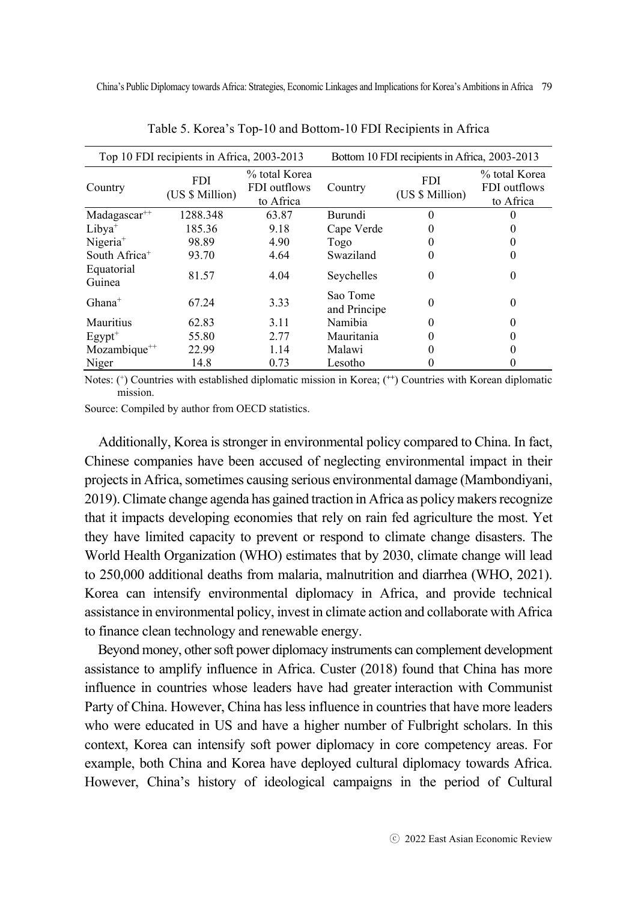| Top 10 FDI recipients in Africa, 2003-2013 |                               |                                            | Bottom 10 FDI recipients in Africa, 2003-2013 |                               |                                            |  |
|--------------------------------------------|-------------------------------|--------------------------------------------|-----------------------------------------------|-------------------------------|--------------------------------------------|--|
| Country                                    | <b>FDI</b><br>(US \$ Million) | % total Korea<br>FDI outflows<br>to Africa | Country                                       | <b>FDI</b><br>(US \$ Million) | % total Korea<br>FDI outflows<br>to Africa |  |
| $Madagascar^{++}$                          | 1288.348                      | 63.87                                      | Burundi                                       |                               |                                            |  |
| $Libya^+$                                  | 185.36                        | 9.18                                       | Cape Verde                                    |                               |                                            |  |
| $Nigeria+$                                 | 98.89                         | 4.90                                       | Togo                                          |                               |                                            |  |
| South Africa <sup>+</sup>                  | 93.70                         | 4.64                                       | Swaziland                                     |                               |                                            |  |
| Equatorial<br>Guinea                       | 81.57                         | 4.04                                       | Seychelles                                    | $\theta$                      | $_{0}$                                     |  |
| $Ghana^+$                                  | 67.24                         | 3.33                                       | Sao Tome<br>and Principe                      |                               | $\theta$                                   |  |
| Mauritius                                  | 62.83                         | 3.11                                       | Namibia                                       |                               |                                            |  |
| $E$ gypt <sup>+</sup>                      | 55.80                         | 2.77                                       | Mauritania                                    |                               |                                            |  |
| Mozambique <sup>++</sup>                   | 22.99                         | 1.14                                       | Malawi                                        |                               |                                            |  |
| Niger                                      | 14.8                          | 0.73                                       | Lesotho                                       |                               |                                            |  |

Table 5. Korea's Top-10 and Bottom-10 FDI Recipients in Africa

Notes: (+) Countries with established diplomatic mission in Korea; (**++**) Countries with Korean diplomatic mission.

Source: Compiled by author from OECD statistics.

Additionally, Korea is stronger in environmental policy compared to China. In fact, Chinese companies have been accused of neglecting environmental impact in their projects in Africa, sometimes causing serious environmental damage (Mambondiyani, 2019). Climate change agenda has gained traction in Africa as policy makers recognize that it impacts developing economies that rely on rain fed agriculture the most. Yet they have limited capacity to prevent or respond to climate change disasters. The World Health Organization (WHO) estimates that by 2030, climate change will lead to 250,000 additional deaths from malaria, malnutrition and diarrhea (WHO, 2021). Korea can intensify environmental diplomacy in Africa, and provide technical assistance in environmental policy, invest in climate action and collaborate with Africa to finance clean technology and renewable energy.

Beyond money, other soft power diplomacy instruments can complement development assistance to amplify influence in Africa. Custer (2018) found that China has more influence in countries whose leaders have had greater interaction with Communist Party of China. However, China has less influence in countries that have more leaders who were educated in US and have a higher number of Fulbright scholars. In this context, Korea can intensify soft power diplomacy in core competency areas. For example, both China and Korea have deployed cultural diplomacy towards Africa. However, China's history of ideological campaigns in the period of Cultural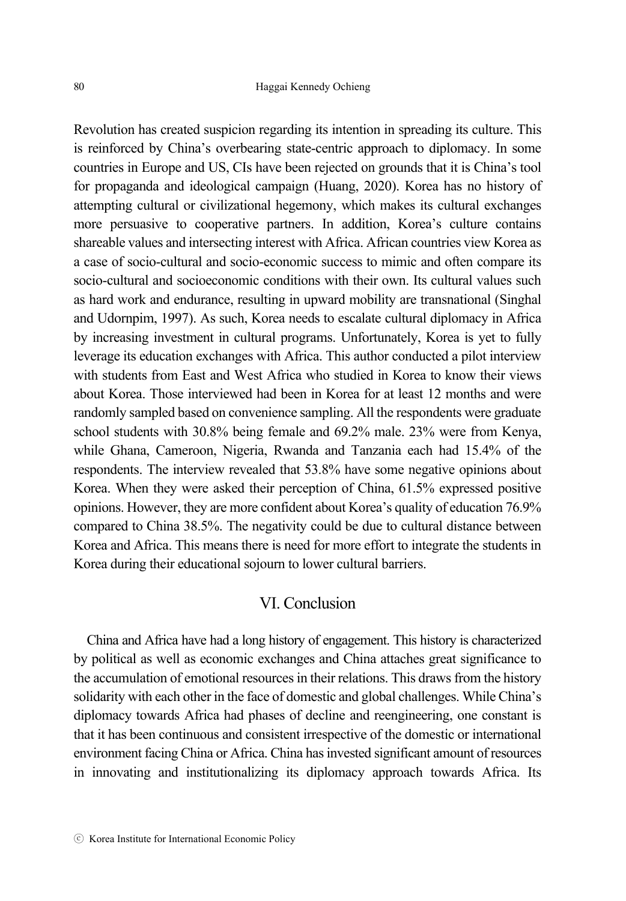Revolution has created suspicion regarding its intention in spreading its culture. This is reinforced by China's overbearing state-centric approach to diplomacy. In some countries in Europe and US, CIs have been rejected on grounds that it is China's tool for propaganda and ideological campaign (Huang, 2020). Korea has no history of attempting cultural or civilizational hegemony, which makes its cultural exchanges more persuasive to cooperative partners. In addition, Korea's culture contains shareable values and intersecting interest with Africa. African countries view Korea as a case of socio-cultural and socio-economic success to mimic and often compare its socio-cultural and socioeconomic conditions with their own. Its cultural values such as hard work and endurance, resulting in upward mobility are transnational (Singhal and Udornpim, 1997). As such, Korea needs to escalate cultural diplomacy in Africa by increasing investment in cultural programs. Unfortunately, Korea is yet to fully leverage its education exchanges with Africa. This author conducted a pilot interview with students from East and West Africa who studied in Korea to know their views about Korea. Those interviewed had been in Korea for at least 12 months and were randomly sampled based on convenience sampling. All the respondents were graduate school students with 30.8% being female and 69.2% male. 23% were from Kenya, while Ghana, Cameroon, Nigeria, Rwanda and Tanzania each had 15.4% of the respondents. The interview revealed that 53.8% have some negative opinions about Korea. When they were asked their perception of China, 61.5% expressed positive opinions. However, they are more confident about Korea's quality of education 76.9% compared to China 38.5%. The negativity could be due to cultural distance between Korea and Africa. This means there is need for more effort to integrate the students in Korea during their educational sojourn to lower cultural barriers.

## VI. Conclusion

China and Africa have had a long history of engagement. This history is characterized by political as well as economic exchanges and China attaches great significance to the accumulation of emotional resources in their relations. This draws from the history solidarity with each other in the face of domestic and global challenges. While China's diplomacy towards Africa had phases of decline and reengineering, one constant is that it has been continuous and consistent irrespective of the domestic or international environment facing China or Africa. China has invested significant amount of resources in innovating and institutionalizing its diplomacy approach towards Africa. Its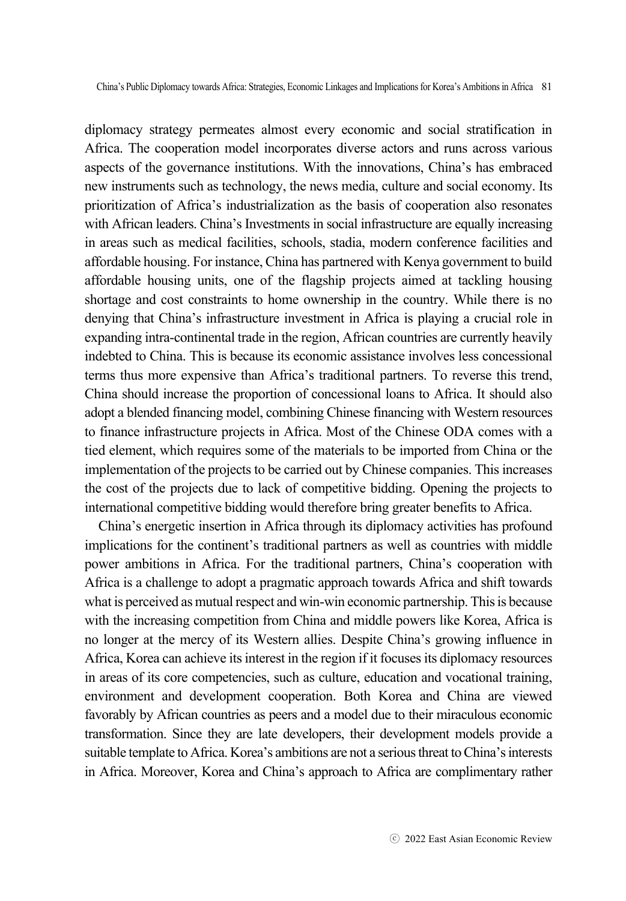diplomacy strategy permeates almost every economic and social stratification in Africa. The cooperation model incorporates diverse actors and runs across various aspects of the governance institutions. With the innovations, China's has embraced new instruments such as technology, the news media, culture and social economy. Its prioritization of Africa's industrialization as the basis of cooperation also resonates with African leaders. China's Investments in social infrastructure are equally increasing in areas such as medical facilities, schools, stadia, modern conference facilities and affordable housing. For instance, China has partnered with Kenya government to build affordable housing units, one of the flagship projects aimed at tackling housing shortage and cost constraints to home ownership in the country. While there is no denying that China's infrastructure investment in Africa is playing a crucial role in expanding intra-continental trade in the region, African countries are currently heavily indebted to China. This is because its economic assistance involves less concessional terms thus more expensive than Africa's traditional partners. To reverse this trend, China should increase the proportion of concessional loans to Africa. It should also adopt a blended financing model, combining Chinese financing with Western resources to finance infrastructure projects in Africa. Most of the Chinese ODA comes with a tied element, which requires some of the materials to be imported from China or the implementation of the projects to be carried out by Chinese companies. This increases the cost of the projects due to lack of competitive bidding. Opening the projects to international competitive bidding would therefore bring greater benefits to Africa.

China's energetic insertion in Africa through its diplomacy activities has profound implications for the continent's traditional partners as well as countries with middle power ambitions in Africa. For the traditional partners, China's cooperation with Africa is a challenge to adopt a pragmatic approach towards Africa and shift towards what is perceived as mutual respect and win-win economic partnership. This is because with the increasing competition from China and middle powers like Korea, Africa is no longer at the mercy of its Western allies. Despite China's growing influence in Africa, Korea can achieve its interest in the region if it focuses its diplomacy resources in areas of its core competencies, such as culture, education and vocational training, environment and development cooperation. Both Korea and China are viewed favorably by African countries as peers and a model due to their miraculous economic transformation. Since they are late developers, their development models provide a suitable template to Africa. Korea's ambitions are not a serious threat to China's interests in Africa. Moreover, Korea and China's approach to Africa are complimentary rather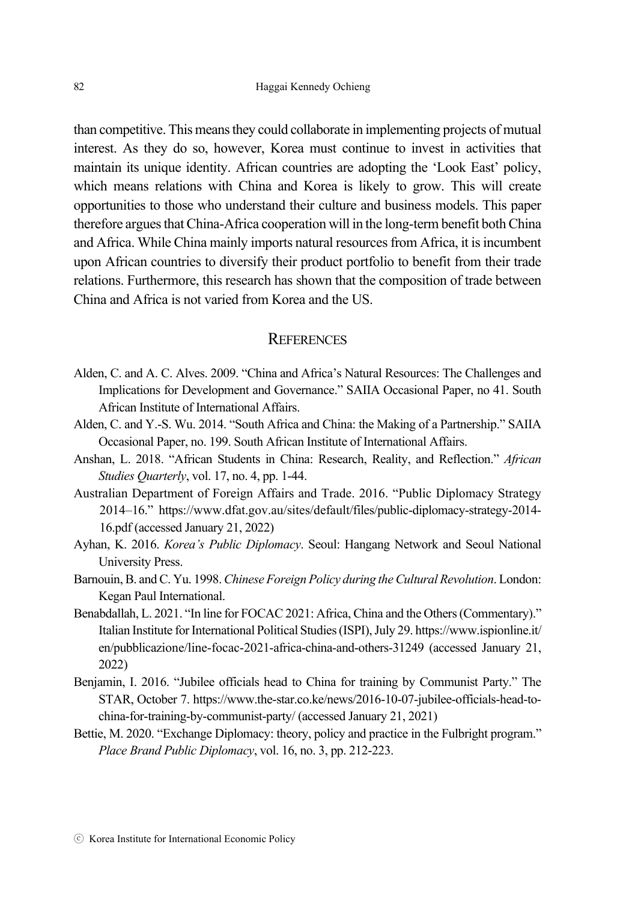than competitive. This means they could collaborate in implementing projects of mutual interest. As they do so, however, Korea must continue to invest in activities that maintain its unique identity. African countries are adopting the 'Look East' policy, which means relations with China and Korea is likely to grow. This will create opportunities to those who understand their culture and business models. This paper therefore argues that China-Africa cooperation will in the long-term benefit both China and Africa. While China mainly imports natural resources from Africa, it is incumbent upon African countries to diversify their product portfolio to benefit from their trade relations. Furthermore, this research has shown that the composition of trade between China and Africa is not varied from Korea and the US.

#### **REFERENCES**

- Alden, C. and A. C. Alves. 2009. "China and Africa's Natural Resources: The Challenges and Implications for Development and Governance." SAIIA Occasional Paper, no 41. South African Institute of International Affairs.
- Alden, C. and Y.-S. Wu. 2014. "South Africa and China: the Making of a Partnership." SAIIA Occasional Paper, no. 199. South African Institute of International Affairs.
- Anshan, L. 2018. "African Students in China: Research, Reality, and Reflection." *African Studies Quarterly*, vol. 17, no. 4, pp. 1-44.
- Australian Department of Foreign Affairs and Trade. 2016. "Public Diplomacy Strategy 2014–16." https://www.dfat.gov.au/sites/default/files/public-diplomacy-strategy-2014- 16.pdf (accessed January 21, 2022)
- Ayhan, K. 2016. *Korea's Public Diplomacy*. Seoul: Hangang Network and Seoul National University Press.
- Barnouin, B. and C. Yu. 1998. *Chinese Foreign Policy during the Cultural Revolution*. London: Kegan Paul International.
- Benabdallah, L. 2021. "In line for FOCAC 2021: Africa, China and the Others (Commentary)." Italian Institute for International Political Studies (ISPI), July 29. https://www.ispionline.it/ en/pubblicazione/line-focac-2021-africa-china-and-others-31249 (accessed January 21, 2022)
- Benjamin, I. 2016. "Jubilee officials head to China for training by Communist Party." The STAR, October 7. https://www.the-star.co.ke/news/2016-10-07-jubilee-officials-head-tochina-for-training-by-communist-party/ (accessed January 21, 2021)
- Bettie, M. 2020. "Exchange Diplomacy: theory, policy and practice in the Fulbright program." *Place Brand Public Diplomacy*, vol. 16, no. 3, pp. 212-223.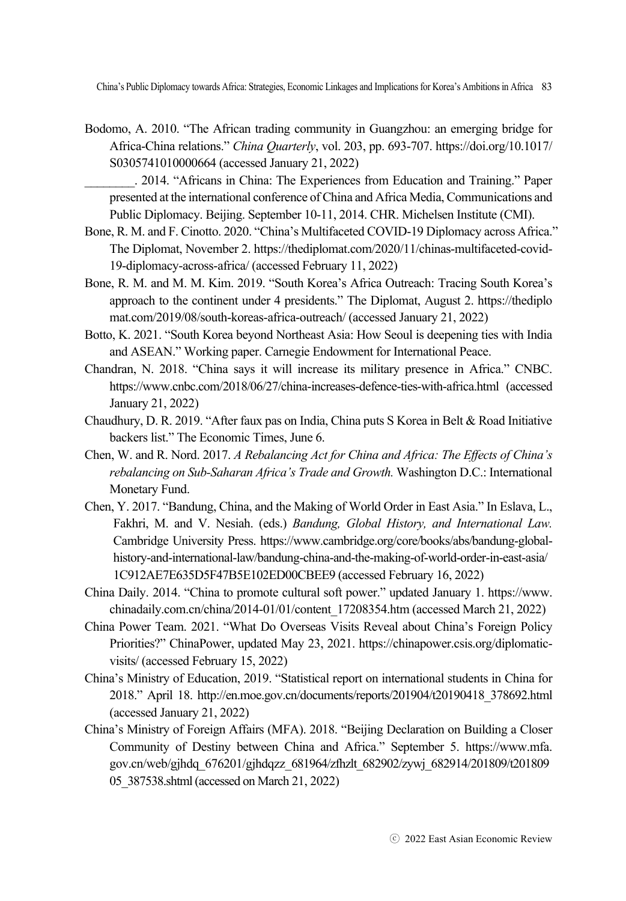- Bodomo, A. 2010. "The African trading community in Guangzhou: an emerging bridge for Africa-China relations." *China Quarterly*, vol. 203, pp. 693-707. https://doi.org/10.1017/ S0305741010000664 (accessed January 21, 2022)
	- \_\_\_\_\_\_\_\_. 2014. "Africans in China: The Experiences from Education and Training." Paper presented at the international conference of China and Africa Media, Communications and Public Diplomacy. Beijing. September 10-11, 2014. CHR. Michelsen Institute (CMI).
- Bone, R. M. and F. Cinotto. 2020. "China's Multifaceted COVID-19 Diplomacy across Africa." The Diplomat, November 2. https://thediplomat.com/2020/11/chinas-multifaceted-covid-19-diplomacy-across-africa/ (accessed February 11, 2022)
- Bone, R. M. and M. M. Kim. 2019. "South Korea's Africa Outreach: Tracing South Korea's approach to the continent under 4 presidents." The Diplomat, August 2. https://thediplo mat.com/2019/08/south-koreas-africa-outreach/ (accessed January 21, 2022)
- Botto, K. 2021. "South Korea beyond Northeast Asia: How Seoul is deepening ties with India and ASEAN." Working paper. Carnegie Endowment for International Peace.
- Chandran, N. 2018. "China says it will increase its military presence in Africa." CNBC. https://www.cnbc.com/2018/06/27/china-increases-defence-ties-with-africa.html (accessed January 21, 2022)
- Chaudhury, D. R. 2019. "After faux pas on India, China puts S Korea in Belt & Road Initiative backers list." The Economic Times, June 6.
- Chen, W. and R. Nord. 2017. *A Rebalancing Act for China and Africa: The Effects of China's rebalancing on Sub-Saharan Africa's Trade and Growth.* Washington D.C.: International Monetary Fund.
- Chen, Y. 2017. "Bandung, China, and the Making of World Order in East Asia." In Eslava, L., Fakhri, M. and V. Nesiah. (eds.) *Bandung, Global History, and International Law.*  Cambridge University Press. https://www.cambridge.org/core/books/abs/bandung-globalhistory-and-international-law/bandung-china-and-the-making-of-world-order-in-east-asia/ 1C912AE7E635D5F47B5E102ED00CBEE9 (accessed February 16, 2022)
- China Daily. 2014. "China to promote cultural soft power." updated January 1. https://www. chinadaily.com.cn/china/2014-01/01/content\_17208354.htm (accessed March 21, 2022)
- China Power Team. 2021. "What Do Overseas Visits Reveal about China's Foreign Policy Priorities?" ChinaPower, updated May 23, 2021. https://chinapower.csis.org/diplomaticvisits/ (accessed February 15, 2022)
- China's Ministry of Education, 2019. "Statistical report on international students in China for 2018." April 18. http://en.moe.gov.cn/documents/reports/201904/t20190418\_378692.html (accessed January 21, 2022)
- China's Ministry of Foreign Affairs (MFA). 2018. "Beijing Declaration on Building a Closer Community of Destiny between China and Africa." September 5. https://www.mfa. gov.cn/web/gjhdq\_676201/gjhdqzz\_681964/zfhzlt\_682902/zywj\_682914/201809/t201809 05\_387538.shtml (accessed on March 21, 2022)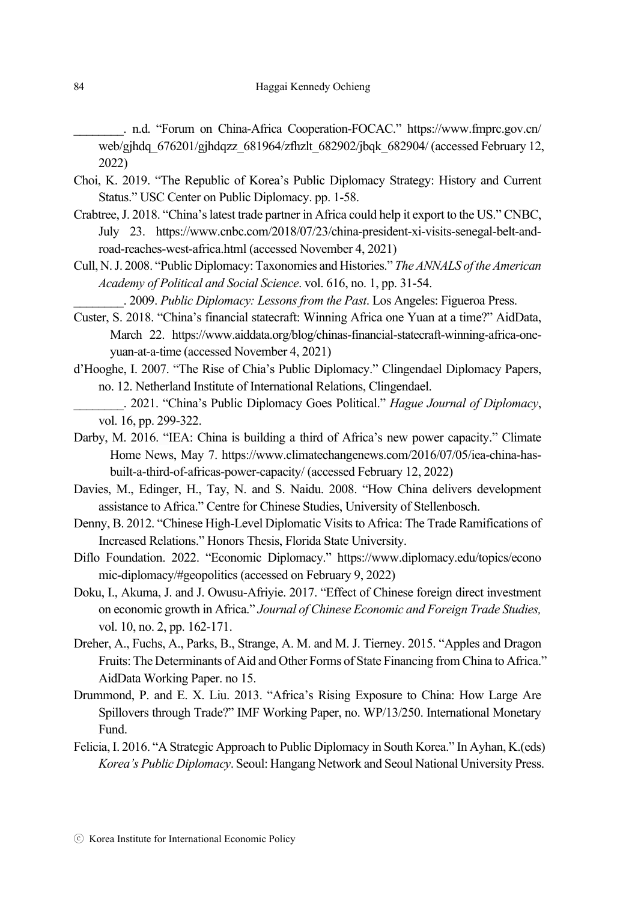\_\_\_\_\_\_\_\_. n.d. "Forum on China-Africa Cooperation-FOCAC." https://www.fmprc.gov.cn/ web/gjhdq\_676201/gjhdqzz\_681964/zfhzlt\_682902/jbqk\_682904/ (accessed February 12, 2022)

- Choi, K. 2019. "The Republic of Korea's Public Diplomacy Strategy: History and Current Status." USC Center on Public Diplomacy. pp. 1-58.
- Crabtree, J. 2018. "China's latest trade partner in Africa could help it export to the US." CNBC, July 23. https://www.cnbc.com/2018/07/23/china-president-xi-visits-senegal-belt-androad-reaches-west-africa.html (accessed November 4, 2021)
- Cull, N. J. 2008. "Public Diplomacy: Taxonomies and Histories." *The ANNALS of the American Academy of Political and Social Science*. vol. 616, no. 1, pp. 31-54.

\_\_\_\_\_\_\_\_. 2009. *Public Diplomacy: Lessons from the Past*. Los Angeles: Figueroa Press.

- Custer, S. 2018. "China's financial statecraft: Winning Africa one Yuan at a time?" AidData, March 22. https://www.aiddata.org/blog/chinas-financial-statecraft-winning-africa-oneyuan-at-a-time (accessed November 4, 2021)
- d'Hooghe, I. 2007. "The Rise of Chia's Public Diplomacy." Clingendael Diplomacy Papers, no. 12. Netherland Institute of International Relations, Clingendael.
- \_\_\_\_\_\_\_\_. 2021. "China's Public Diplomacy Goes Political." *Hague Journal of Diplomacy*, vol. 16, pp. 299-322.
- Darby, M. 2016. "IEA: China is building a third of Africa's new power capacity." Climate Home News, May 7. https://www.climatechangenews.com/2016/07/05/iea-china-hasbuilt-a-third-of-africas-power-capacity/ (accessed February 12, 2022)
- Davies, M., Edinger, H., Tay, N. and S. Naidu. 2008. "How China delivers development assistance to Africa." Centre for Chinese Studies, University of Stellenbosch.
- Denny, B. 2012. "Chinese High-Level Diplomatic Visits to Africa: The Trade Ramifications of Increased Relations." Honors Thesis, Florida State University.
- Diflo Foundation. 2022. "Economic Diplomacy." https://www.diplomacy.edu/topics/econo mic-diplomacy/#geopolitics (accessed on February 9, 2022)
- Doku, I., Akuma, J. and J. Owusu-Afriyie. 2017. "Effect of Chinese foreign direct investment on economic growth in Africa." *Journal of Chinese Economic and Foreign Trade Studies,* vol. 10, no. 2, pp. 162-171.
- Dreher, A., Fuchs, A., Parks, B., Strange, A. M. and M. J. Tierney. 2015. "Apples and Dragon Fruits: The Determinants of Aid and Other Forms of State Financing from China to Africa." AidData Working Paper. no 15.
- Drummond, P. and E. X. Liu. 2013. "Africa's Rising Exposure to China: How Large Are Spillovers through Trade?" IMF Working Paper, no. WP/13/250. International Monetary Fund.
- Felicia, I. 2016. "A Strategic Approach to Public Diplomacy in South Korea." In Ayhan, K.(eds) *Korea's Public Diplomacy*. Seoul: Hangang Network and Seoul National University Press.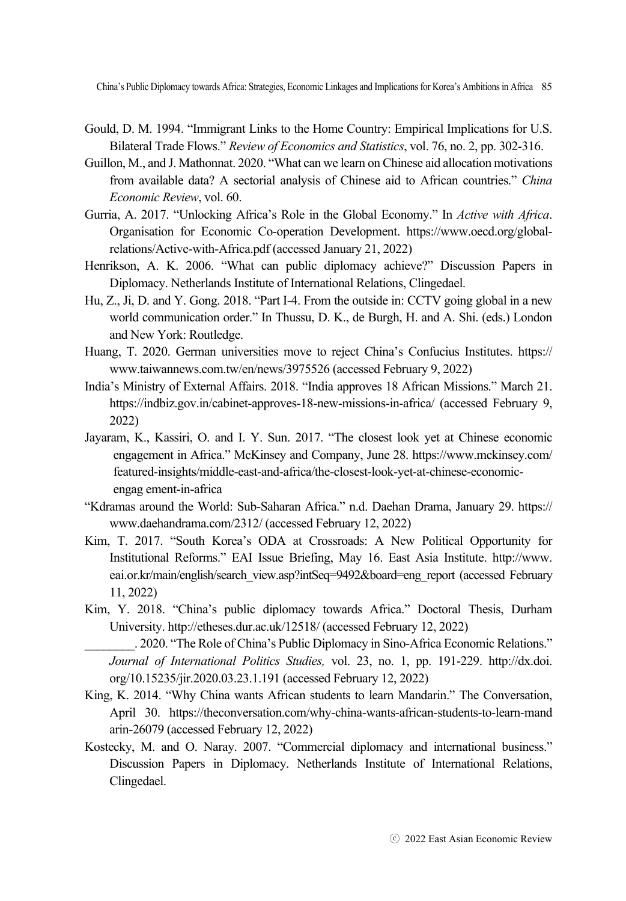- Gould, D. M. 1994. "Immigrant Links to the Home Country: Empirical Implications for U.S. Bilateral Trade Flows." *Review of Economics and Statistics*, vol. 76, no. 2, pp. 302-316.
- Guillon, M., and J. Mathonnat. 2020. "What can we learn on Chinese aid allocation motivations from available data? A sectorial analysis of Chinese aid to African countries." *China Economic Review*, vol. 60.
- Gurria, A. 2017. "Unlocking Africa's Role in the Global Economy." In *Active with Africa*. Organisation for Economic Co-operation Development. https://www.oecd.org/globalrelations/Active-with-Africa.pdf (accessed January 21, 2022)
- Henrikson, A. K. 2006. "What can public diplomacy achieve?" Discussion Papers in Diplomacy. Netherlands Institute of International Relations, Clingedael.
- Hu, Z., Ji, D. and Y. Gong. 2018. "Part I-4. From the outside in: CCTV going global in a new world communication order." In Thussu, D. K., de Burgh, H. and A. Shi. (eds.) London and New York: Routledge.
- Huang, T. 2020. German universities move to reject China's Confucius Institutes. https:// www.taiwannews.com.tw/en/news/3975526 (accessed February 9, 2022)
- India's Ministry of External Affairs. 2018. "India approves 18 African Missions." March 21. https://indbiz.gov.in/cabinet-approves-18-new-missions-in-africa/ (accessed February 9, 2022)
- Jayaram, K., Kassiri, O. and I. Y. Sun. 2017. "The closest look yet at Chinese economic engagement in Africa." McKinsey and Company, June 28. https://www.mckinsey.com/ featured-insights/middle-east-and-africa/the-closest-look-yet-at-chinese-economicengag ement-in-africa
- "Kdramas around the World: Sub-Saharan Africa." n.d. Daehan Drama, January 29. https:// www.daehandrama.com/2312/ (accessed February 12, 2022)
- Kim, T. 2017. "South Korea's ODA at Crossroads: A New Political Opportunity for Institutional Reforms." EAI Issue Briefing, May 16. East Asia Institute. http://www. eai.or.kr/main/english/search\_view.asp?intSeq=9492&board=eng\_report (accessed February 11, 2022)
- Kim, Y. 2018. "China's public diplomacy towards Africa." Doctoral Thesis, Durham University. http://etheses.dur.ac.uk/12518/ (accessed February 12, 2022)
	- . 2020. "The Role of China's Public Diplomacy in Sino-Africa Economic Relations." *Journal of International Politics Studies,* vol. 23, no. 1, pp. 191-229. http://dx.doi. org/10.15235/jir.2020.03.23.1.191 (accessed February 12, 2022)
- King, K. 2014. "Why China wants African students to learn Mandarin." The Conversation, April 30. https://theconversation.com/why-china-wants-african-students-to-learn-mand arin-26079 (accessed February 12, 2022)
- Kostecky, M. and O. Naray. 2007. "Commercial diplomacy and international business." Discussion Papers in Diplomacy. Netherlands Institute of International Relations, Clingedael.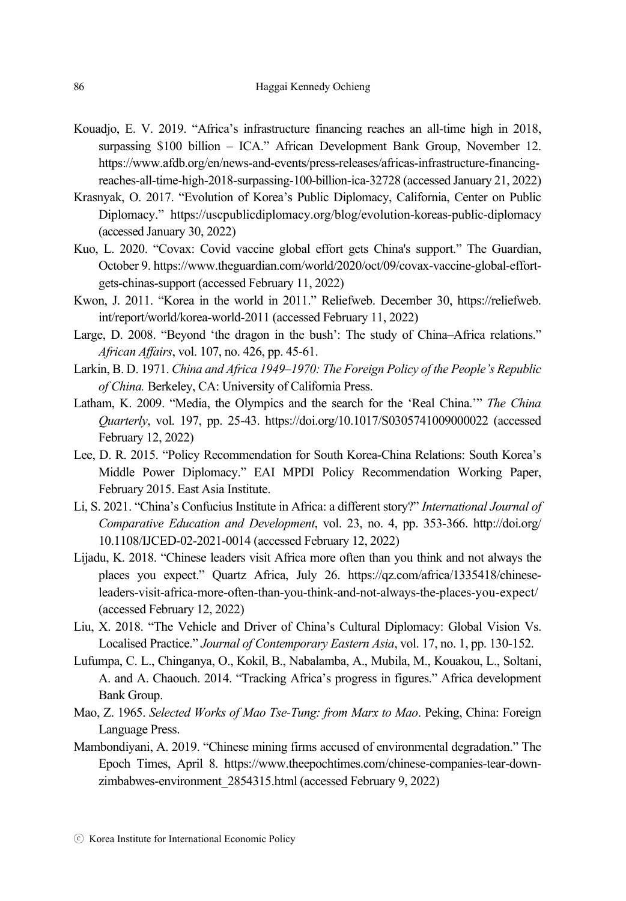- Kouadjo, E. V. 2019. "Africa's infrastructure financing reaches an all-time high in 2018, surpassing \$100 billion – ICA." African Development Bank Group, November 12. https://www.afdb.org/en/news-and-events/press-releases/africas-infrastructure-financingreaches-all-time-high-2018-surpassing-100-billion-ica-32728 (accessed January 21, 2022)
- Krasnyak, O. 2017. "Evolution of Korea's Public Diplomacy, California, Center on Public Diplomacy." https://uscpublicdiplomacy.org/blog/evolution-koreas-public-diplomacy (accessed January 30, 2022)
- Kuo, L. 2020. "Covax: Covid vaccine global effort gets China's support." The Guardian, October 9. https://www.theguardian.com/world/2020/oct/09/covax-vaccine-global-effortgets-chinas-support (accessed February 11, 2022)
- Kwon, J. 2011. "Korea in the world in 2011." Reliefweb. December 30, https://reliefweb. int/report/world/korea-world-2011 (accessed February 11, 2022)
- Large, D. 2008. "Beyond 'the dragon in the bush': The study of China–Africa relations." *African Affairs*, vol. 107, no. 426, pp. 45-61.
- Larkin, B. D. 1971. *China and Africa 1949–1970: The Foreign Policy of the People's Republic of China.* Berkeley, CA: University of California Press.
- Latham, K. 2009. "Media, the Olympics and the search for the 'Real China.'" *The China Quarterly*, vol. 197, pp. 25-43. https://doi.org/10.1017/S0305741009000022 (accessed February 12, 2022)
- Lee, D. R. 2015. "Policy Recommendation for South Korea-China Relations: South Korea's Middle Power Diplomacy." EAI MPDI Policy Recommendation Working Paper, February 2015. East Asia Institute.
- Li, S. 2021. "China's Confucius Institute in Africa: a different story?" *International Journal of Comparative Education and Development*, vol. 23, no. 4, pp. 353-366. http://doi.org/ 10.1108/IJCED-02-2021-0014 (accessed February 12, 2022)
- Lijadu, K. 2018. "Chinese leaders visit Africa more often than you think and not always the places you expect." Quartz Africa, July 26. https://qz.com/africa/1335418/chineseleaders-visit-africa-more-often-than-you-think-and-not-always-the-places-you-expect/ (accessed February 12, 2022)
- Liu, X. 2018. "The Vehicle and Driver of China's Cultural Diplomacy: Global Vision Vs. Localised Practice." *Journal of Contemporary Eastern Asia*, vol. 17, no. 1, pp. 130-152.
- Lufumpa, C. L., Chinganya, O., Kokil, B., Nabalamba, A., Mubila, M., Kouakou, L., Soltani, A. and A. Chaouch. 2014. "Tracking Africa's progress in figures." Africa development Bank Group.
- Mao, Z. 1965. *Selected Works of Mao Tse-Tung: from Marx to Mao*. Peking, China: Foreign Language Press.
- Mambondiyani, A. 2019. "Chinese mining firms accused of environmental degradation." The Epoch Times, April 8. https://www.theepochtimes.com/chinese-companies-tear-downzimbabwes-environment\_2854315.html (accessed February 9, 2022)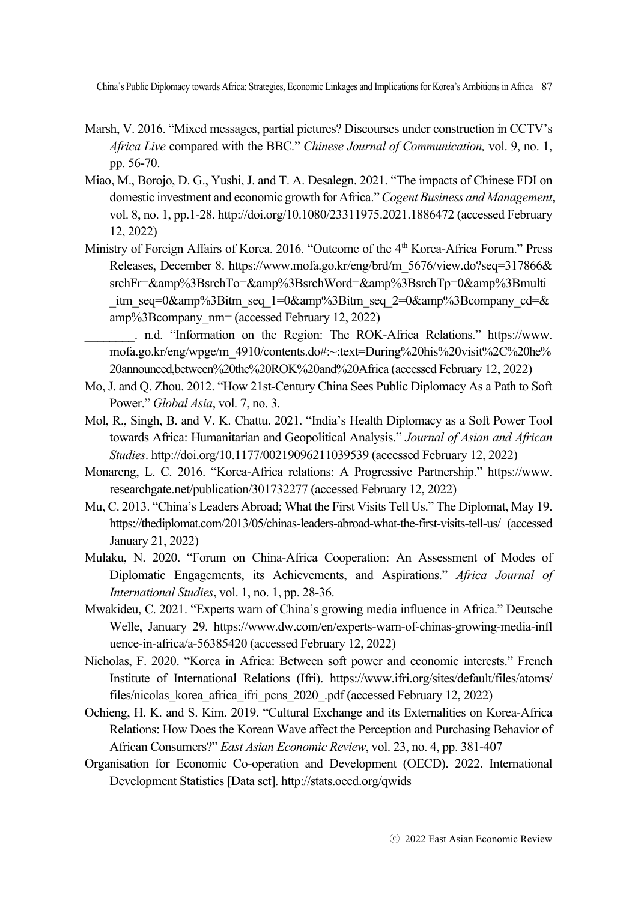- Marsh, V. 2016. "Mixed messages, partial pictures? Discourses under construction in CCTV's *Africa Live* compared with the BBC." *Chinese Journal of Communication,* vol. 9, no. 1, pp. 56-70.
- Miao, M., Borojo, D. G., Yushi, J. and T. A. Desalegn. 2021. "The impacts of Chinese FDI on domestic investment and economic growth for Africa." *Cogent Business and Management*, vol. 8, no. 1, pp.1-28. http://doi.org/10.1080/23311975.2021.1886472 (accessed February 12, 2022)
- Ministry of Foreign Affairs of Korea. 2016. "Outcome of the 4<sup>th</sup> Korea-Africa Forum." Press Releases, December 8. https://www.mofa.go.kr/eng/brd/m\_5676/view.do?seq=317866& srchFr=&amp%3BsrchTo=&amp%3BsrchWord=&amp%3BsrchTp=0&amp%3Bmulti itm\_seq=0&amp%3Bitm\_seq\_1=0&amp%3Bitm\_seq\_2=0&amp%3Bcompany\_cd=& amp%3Bcompany\_nm= (accessed February 12, 2022)
	- \_\_\_\_\_\_\_\_. n.d. "Information on the Region: The ROK-Africa Relations." https://www. mofa.go.kr/eng/wpge/m\_4910/contents.do#:~:text=During%20his%20visit%2C%20he% 20announced,between%20the%20ROK%20and%20Africa (accessed February 12, 2022)
- Mo, J. and Q. Zhou. 2012. "How 21st-Century China Sees Public Diplomacy As a Path to Soft Power." *Global Asia*, vol. 7, no. 3.
- Mol, R., Singh, B. and V. K. Chattu. 2021. "India's Health Diplomacy as a Soft Power Tool towards Africa: Humanitarian and Geopolitical Analysis." *Journal of Asian and African Studies*. http://doi.org/10.1177/00219096211039539 (accessed February 12, 2022)
- Monareng, L. C. 2016. "Korea-Africa relations: A Progressive Partnership." https://www. researchgate.net/publication/301732277 (accessed February 12, 2022)
- Mu, C. 2013. "China's Leaders Abroad; What the First Visits Tell Us." The Diplomat, May 19. https://thediplomat.com/2013/05/chinas-leaders-abroad-what-the-first-visits-tell-us/ (accessed January 21, 2022)
- Mulaku, N. 2020. "Forum on China-Africa Cooperation: An Assessment of Modes of Diplomatic Engagements, its Achievements, and Aspirations." *Africa Journal of International Studies*, vol. 1, no. 1, pp. 28-36.
- Mwakideu, C. 2021. "Experts warn of China's growing media influence in Africa." Deutsche Welle, January 29. https://www.dw.com/en/experts-warn-of-chinas-growing-media-infl uence-in-africa/a-56385420 (accessed February 12, 2022)
- Nicholas, F. 2020. "Korea in Africa: Between soft power and economic interests." French Institute of International Relations (Ifri). https://www.ifri.org/sites/default/files/atoms/ files/nicolas\_korea\_africa\_ifri\_pcns\_2020\_.pdf (accessed February 12, 2022)
- Ochieng, H. K. and S. Kim. 2019. "Cultural Exchange and its Externalities on Korea-Africa Relations: How Does the Korean Wave affect the Perception and Purchasing Behavior of African Consumers?" *East Asian Economic Review*, vol. 23, no. 4, pp. 381-407
- Organisation for Economic Co-operation and Development (OECD). 2022. International Development Statistics [Data set]. http://stats.oecd.org/qwids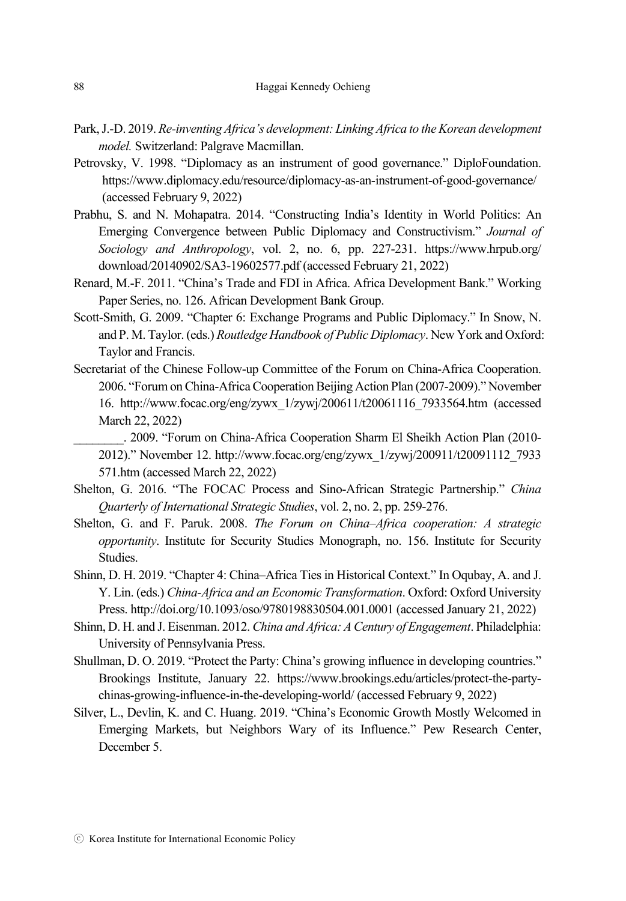- Park, J.-D. 2019. *Re-inventing Africa's development: Linking Africa to the Korean development model.* Switzerland: Palgrave Macmillan.
- Petrovsky, V. 1998. "Diplomacy as an instrument of good governance." DiploFoundation. https://www.diplomacy.edu/resource/diplomacy-as-an-instrument-of-good-governance/ (accessed February 9, 2022)
- Prabhu, S. and N. Mohapatra. 2014. "Constructing India's Identity in World Politics: An Emerging Convergence between Public Diplomacy and Constructivism." *Journal of Sociology and Anthropology*, vol. 2, no. 6, pp. 227-231. https://www.hrpub.org/ download/20140902/SA3-19602577.pdf (accessed February 21, 2022)
- Renard, M.-F. 2011. "China's Trade and FDI in Africa. Africa Development Bank." Working Paper Series, no. 126. African Development Bank Group.
- Scott-Smith, G. 2009. "Chapter 6: Exchange Programs and Public Diplomacy." In Snow, N. and P. M. Taylor. (eds.) *Routledge Handbook of Public Diplomacy*. New York and Oxford: Taylor and Francis.
- Secretariat of the Chinese Follow-up Committee of the Forum on China-Africa Cooperation. 2006. "Forum on China-Africa Cooperation Beijing Action Plan (2007-2009)." November 16. http://www.focac.org/eng/zywx\_1/zywj/200611/t20061116\_7933564.htm (accessed March 22, 2022)
	- \_\_\_\_\_\_\_\_. 2009. "Forum on China-Africa Cooperation Sharm El Sheikh Action Plan (2010- 2012)." November 12. http://www.focac.org/eng/zywx\_1/zywj/200911/t20091112\_7933 571.htm (accessed March 22, 2022)
- Shelton, G. 2016. "The FOCAC Process and Sino-African Strategic Partnership." *China Quarterly of International Strategic Studies*, vol. 2, no. 2, pp. 259-276.
- Shelton, G. and F. Paruk. 2008. *The Forum on China–Africa cooperation: A strategic opportunity*. Institute for Security Studies Monograph, no. 156. Institute for Security Studies.
- Shinn, D. H. 2019. "Chapter 4: China–Africa Ties in Historical Context." In Oqubay, A. and J. Y. Lin. (eds.) *China-Africa and an Economic Transformation*. Oxford: Oxford University Press. http://doi.org/10.1093/oso/9780198830504.001.0001 (accessed January 21, 2022)
- Shinn, D. H. and J. Eisenman. 2012. *China and Africa: A Century of Engagement*. Philadelphia: University of Pennsylvania Press.
- Shullman, D. O. 2019. "Protect the Party: China's growing influence in developing countries." Brookings Institute, January 22. https://www.brookings.edu/articles/protect-the-partychinas-growing-influence-in-the-developing-world/ (accessed February 9, 2022)
- Silver, L., Devlin, K. and C. Huang. 2019. "China's Economic Growth Mostly Welcomed in Emerging Markets, but Neighbors Wary of its Influence." Pew Research Center, December 5.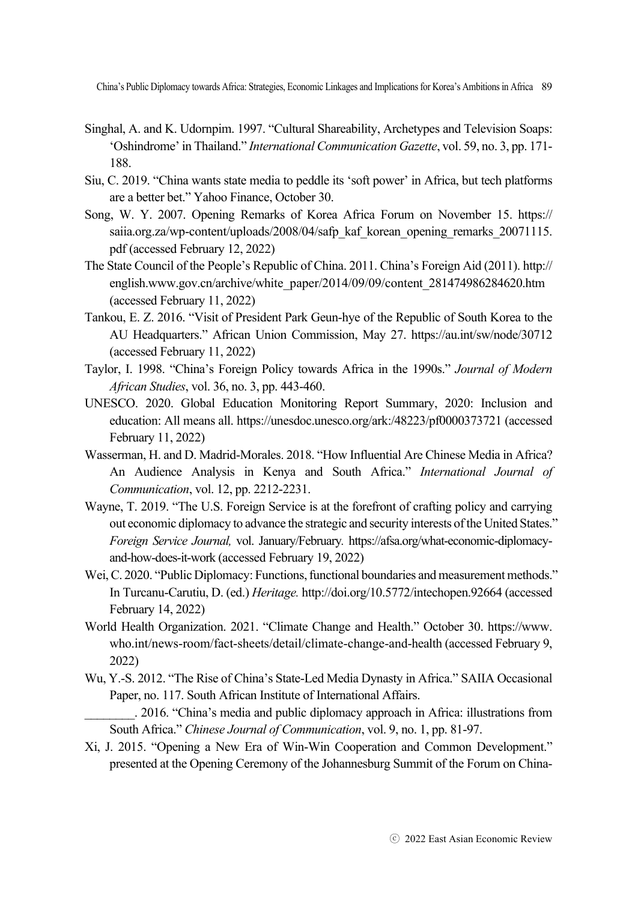- Singhal, A. and K. Udornpim. 1997. "Cultural Shareability, Archetypes and Television Soaps: 'Oshindrome' in Thailand." *International Communication Gazette*, vol. 59, no. 3, pp. 171- 188.
- Siu, C. 2019. "China wants state media to peddle its 'soft power' in Africa, but tech platforms are a better bet." Yahoo Finance, October 30.
- Song, W. Y. 2007. Opening Remarks of Korea Africa Forum on November 15. https:// saiia.org.za/wp-content/uploads/2008/04/safp\_kaf\_korean\_opening\_remarks\_20071115. pdf (accessed February 12, 2022)
- The State Council of the People's Republic of China. 2011. China's Foreign Aid (2011). http:// english.www.gov.cn/archive/white\_paper/2014/09/09/content\_281474986284620.htm (accessed February 11, 2022)
- Tankou, E. Z. 2016. "Visit of President Park Geun-hye of the Republic of South Korea to the AU Headquarters." African Union Commission, May 27. https://au.int/sw/node/30712 (accessed February 11, 2022)
- Taylor, I. 1998. "China's Foreign Policy towards Africa in the 1990s." *Journal of Modern African Studies*, vol. 36, no. 3, pp. 443-460.
- UNESCO. 2020. Global Education Monitoring Report Summary, 2020: Inclusion and education: All means all. https://unesdoc.unesco.org/ark:/48223/pf0000373721 (accessed February 11, 2022)
- Wasserman, H. and D. Madrid-Morales. 2018. "How Influential Are Chinese Media in Africa? An Audience Analysis in Kenya and South Africa." *International Journal of Communication*, vol. 12, pp. 2212-2231.
- Wayne, T. 2019. "The U.S. Foreign Service is at the forefront of crafting policy and carrying out economic diplomacy to advance the strategic and security interests of the United States." *Foreign Service Journal,* vol. January/February*.* https://afsa.org/what-economic-diplomacyand-how-does-it-work (accessed February 19, 2022)
- Wei, C. 2020. "Public Diplomacy: Functions, functional boundaries and measurement methods." In Turcanu-Carutiu, D. (ed.) *Heritage.* http://doi.org/10.5772/intechopen.92664 (accessed February 14, 2022)
- World Health Organization. 2021. "Climate Change and Health." October 30. https://www. who.int/news-room/fact-sheets/detail/climate-change-and-health (accessed February 9, 2022)
- Wu, Y.-S. 2012. "The Rise of China's State-Led Media Dynasty in Africa." SAIIA Occasional Paper, no. 117. South African Institute of International Affairs.
- \_\_\_\_\_\_\_\_. 2016. "China's media and public diplomacy approach in Africa: illustrations from South Africa." *Chinese Journal of Communication*, vol. 9, no. 1, pp. 81-97.
- Xi, J. 2015. "Opening a New Era of Win-Win Cooperation and Common Development." presented at the Opening Ceremony of the Johannesburg Summit of the Forum on China-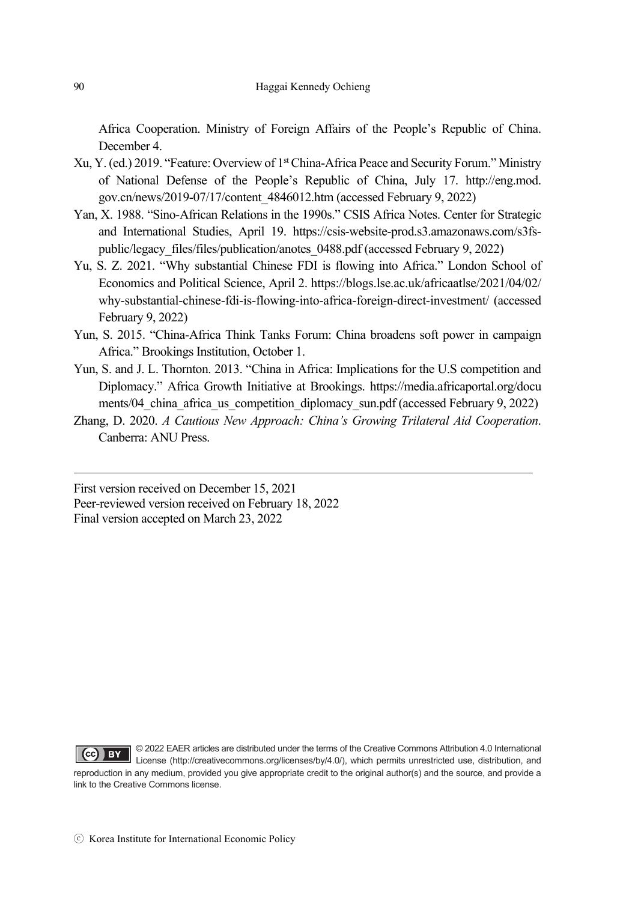Africa Cooperation. Ministry of Foreign Affairs of the People's Republic of China. December 4.

- Xu, Y. (ed.) 2019. "Feature: Overview of 1st China-Africa Peace and Security Forum." Ministry of National Defense of the People's Republic of China, July 17. http://eng.mod. gov.cn/news/2019-07/17/content\_4846012.htm (accessed February 9, 2022)
- Yan, X. 1988. "Sino-African Relations in the 1990s." CSIS Africa Notes. Center for Strategic and International Studies, April 19. https://csis-website-prod.s3.amazonaws.com/s3fspublic/legacy\_files/files/publication/anotes\_0488.pdf (accessed February 9, 2022)
- Yu, S. Z. 2021. "Why substantial Chinese FDI is flowing into Africa." London School of Economics and Political Science, April 2. https://blogs.lse.ac.uk/africaatlse/2021/04/02/ why-substantial-chinese-fdi-is-flowing-into-africa-foreign-direct-investment/ (accessed February 9, 2022)
- Yun, S. 2015. "China-Africa Think Tanks Forum: China broadens soft power in campaign Africa." Brookings Institution, October 1.
- Yun, S. and J. L. Thornton. 2013. "China in Africa: Implications for the U.S competition and Diplomacy." Africa Growth Initiative at Brookings. https://media.africaportal.org/docu ments/04 china africa us competition diplomacy sun.pdf (accessed February 9, 2022)
- Zhang, D. 2020. *A Cautious New Approach: China's Growing Trilateral Aid Cooperation*. Canberra: ANU Press.

First version received on December 15, 2021 Peer-reviewed version received on February 18, 2022 Final version accepted on March 23, 2022

© 2022 EAER articles are distributed under the terms of the Creative Commons Attribution 4.0 International **CC** BY CIUZE LALT and the manufacture of the commons.org/licenses/by/4.0/), which permits unrestricted use, distribution, and License (http://creativecommons.org/licenses/by/4.0/), which permits unrestricted use, distribu reproduction in any medium, provided you give appropriate credit to the original author(s) and the source, and provide a link to the Creative Commons license.